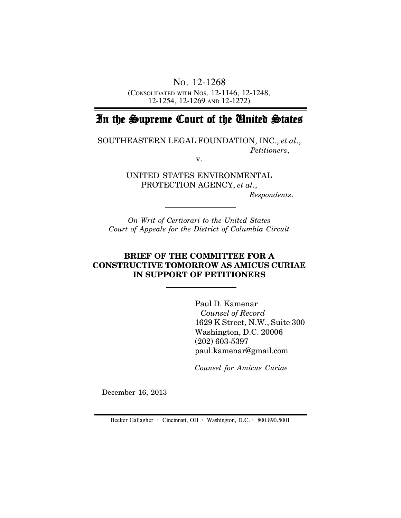NO. 12-1268

(CONSOLIDATED WITH NOS. 12-1146, 12-1248, 12-1254, 12-1269 AND 12-1272)

# In the Supreme Court of the United States

SOUTHEASTERN LEGAL FOUNDATION, INC., *et al*., *Petitioners*,

v.

UNITED STATES ENVIRONMENTAL PROTECTION AGENCY, *et al.*,

 *Respondents*.

*On Writ of Certiorari to the United States Court of Appeals for the District of Columbia Circuit*

# **BRIEF OF THE COMMITTEE FOR A CONSTRUCTIVE TOMORROW AS AMICUS CURIAE IN SUPPORT OF PETITIONERS**

Paul D. Kamenar  *Counsel of Record* 1629 K Street, N.W., Suite 300 Washington, D.C. 20006 (202) 603-5397 paul.kamenar@gmail.com

*Counsel for Amicus Curiae*

December 16, 2013

Becker Gallagher **·** Cincinnati, OH **·** Washington, D.C. **·** 800.890.5001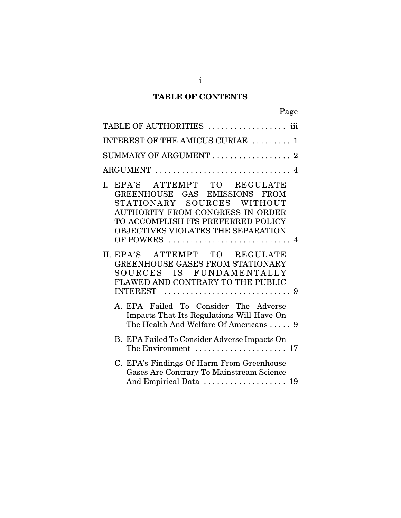# **TABLE OF CONTENTS**

| Page                                                                                                                                                                                                                     |
|--------------------------------------------------------------------------------------------------------------------------------------------------------------------------------------------------------------------------|
| TABLE OF AUTHORITIES  iii                                                                                                                                                                                                |
| $\overline{\text{INTEREST OF THE AMICUS CURLAE}}$ 1                                                                                                                                                                      |
| $\operatorname{SUMMARY}$ OF ARGUMENT $\ldots \ldots \ldots \ldots \ldots \; 2$                                                                                                                                           |
| $\text{ARGUMENT}\; \ldots \ldots \ldots \ldots \ldots \ldots \ldots \ldots \ldots \; 4$                                                                                                                                  |
| EPA'S ATTEMPT TO<br>L.<br><b>REGULATE</b><br>GREENHOUSE GAS EMISSIONS FROM<br>STATIONARY SOURCES WITHOUT<br>AUTHORITY FROM CONGRESS IN ORDER<br>TO ACCOMPLISH ITS PREFERRED POLICY<br>OBJECTIVES VIOLATES THE SEPARATION |
| II. EPA'S ATTEMPT TO REGULATE<br>GREENHOUSE GASES FROM STATIONARY<br>SOURCES IS FUNDAMENTALLY<br>FLAWED AND CONTRARY TO THE PUBLIC<br><b>INTEREST</b>                                                                    |
| A. EPA Failed To Consider The Adverse<br>Impacts That Its Regulations Will Have On<br>The Health And Welfare Of Americans 9                                                                                              |
| B. EPA Failed To Consider Adverse Impacts On<br>The Environment $\dots\dots\dots\dots\dots\dots\dots$                                                                                                                    |
| C. EPA's Findings Of Harm From Greenhouse<br>Gases Are Contrary To Mainstream Science<br>And Empirical Data  19                                                                                                          |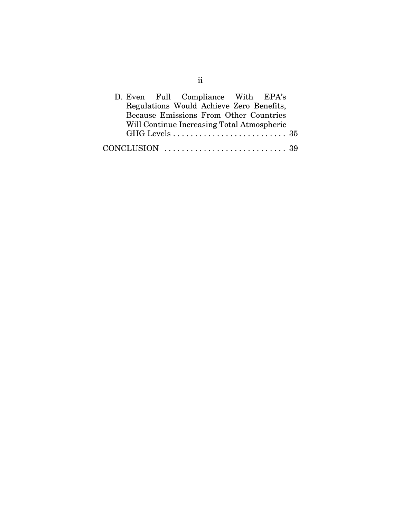| D. Even Full Compliance With EPA's |  |                                            |  |  |
|------------------------------------|--|--------------------------------------------|--|--|
|                                    |  | Regulations Would Achieve Zero Benefits,   |  |  |
|                                    |  | Because Emissions From Other Countries     |  |  |
|                                    |  | Will Continue Increasing Total Atmospheric |  |  |
|                                    |  |                                            |  |  |
|                                    |  |                                            |  |  |

ii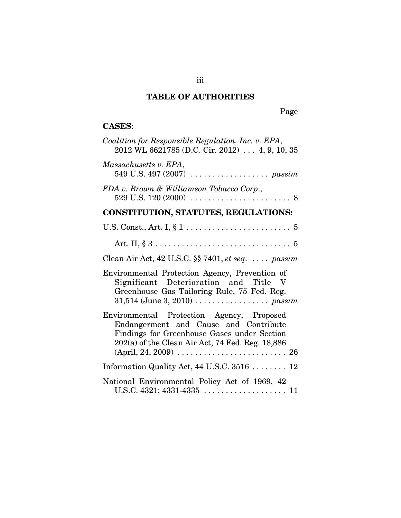# **TABLE OF AUTHORITIES**

Page

# **CASES**:

| Coalition for Responsible Regulation, Inc. v. EPA,<br>$2012$ WL 6621785 (D.C. Cir. 2012)  4, 9, 10, 35                                                                                                                                                                         |
|--------------------------------------------------------------------------------------------------------------------------------------------------------------------------------------------------------------------------------------------------------------------------------|
| Massachusetts v. EPA,                                                                                                                                                                                                                                                          |
| FDA v. Brown & Williamson Tobacco Corp.,                                                                                                                                                                                                                                       |
| <b>CONSTITUTION, STATUTES, REGULATIONS:</b>                                                                                                                                                                                                                                    |
|                                                                                                                                                                                                                                                                                |
| Art. II, $\S 3 \ldots \ldots \ldots \ldots \ldots \ldots \ldots \ldots \ldots \ldots 5$                                                                                                                                                                                        |
| Clean Air Act, $42$ U.S.C. $\S$ $7401$ , $et$ $seq$ . $\dots$ $passim$                                                                                                                                                                                                         |
| Environmental Protection Agency, Prevention of<br>Significant Deterioration and Title V<br>Greenhouse Gas Tailoring Rule, 75 Fed. Reg.                                                                                                                                         |
| Environmental Protection Agency, Proposed<br>Endangerment and Cause and Contribute<br>Findings for Greenhouse Gases under Section<br>202(a) of the Clean Air Act, 74 Fed. Reg. 18,886<br>$(April, 24, 2009) \ldots \ldots \ldots \ldots \ldots \ldots \ldots \ldots \ldots 26$ |
| Information Quality Act, 44 U.S.C. 3516  12                                                                                                                                                                                                                                    |
| National Environmental Policy Act of 1969, 42<br>U.S.C. $4321; 4331-4335$                                                                                                                                                                                                      |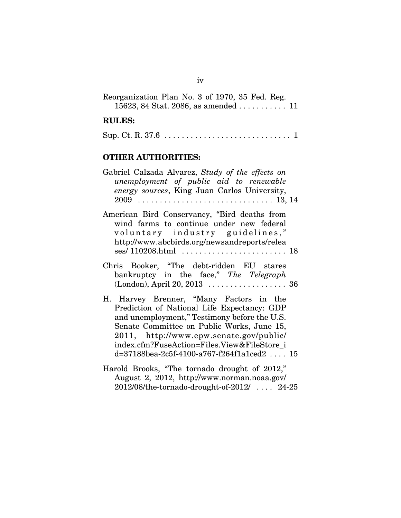| Reorganization Plan No. 3 of 1970, 35 Fed. Reg.            |  |  |  |  |
|------------------------------------------------------------|--|--|--|--|
| 15623, 84 Stat. 2086, as amended $\ldots \ldots \ldots 11$ |  |  |  |  |

#### **RULES:**

|--|--|--|

### **OTHER AUTHORITIES:**

| Gabriel Calzada Alvarez, Study of the effects on                                                                                     |
|--------------------------------------------------------------------------------------------------------------------------------------|
| unemployment of public aid to renewable                                                                                              |
| <i>energy sources</i> , King Juan Carlos University,                                                                                 |
|                                                                                                                                      |
|                                                                                                                                      |
| American Bird Conservancy, "Bird deaths from                                                                                         |
| $\mathbf{1}$ , $\mathbf{0}$ , $\mathbf{1}$ , $\mathbf{0}$ , $\mathbf{1}$ , $\mathbf{1}$ , $\mathbf{1}$ , $\mathbf{1}$ , $\mathbf{1}$ |

| wind farms to continue under new federal     |  |
|----------------------------------------------|--|
| voluntary industry guidelines,"              |  |
| http://www.abcbirds.org/newsandreports/relea |  |
|                                              |  |

|  | Chris Booker, "The debt-ridden EU stares |  |  |  |  |  |  |  |
|--|------------------------------------------|--|--|--|--|--|--|--|
|  | bankruptcy in the face," The Telegraph   |  |  |  |  |  |  |  |
|  |                                          |  |  |  |  |  |  |  |

- H. Harvey Brenner, "Many Factors in the Prediction of National Life Expectancy: GDP and unemployment," Testimony before the U.S. Senate Committee on Public Works, June 15, 2011, http://www.epw.senate.gov/public/ index.cfm?FuseAction=Files.View&FileStore\_i d=37188bea-2c5f-4100-a767-f264f1a1ced2 . . . . 15
- Harold Brooks, "The tornado drought of 2012," August 2, 2012, http://www.norman.noaa.gov/ 2012/08/the-tornado-drought-of-2012/ . . . . 24-25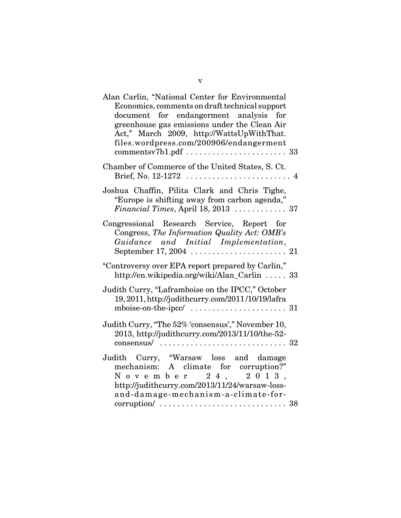| $\overline{4}$                                                                         |
|----------------------------------------------------------------------------------------|
| Financial Times, April 18, 2013  37                                                    |
|                                                                                        |
| http://en.wikipedia.org/wiki/Alan_Carlin  33                                           |
|                                                                                        |
| $consensus / \ldots \ldots \ldots \ldots \ldots \ldots \ldots \ldots \ldots \ldots 32$ |
| $\ldots$ 38                                                                            |
|                                                                                        |

v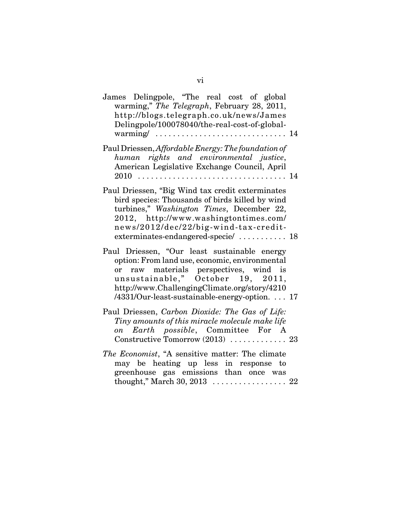| James Delingpole, "The real cost of global<br>warming," The Telegraph, February 28, 2011,<br>http://blogs.telegraph.co.uk/news/James<br>Delingpole/100078040/the-real-cost-of-global-                                                                                          |  |
|--------------------------------------------------------------------------------------------------------------------------------------------------------------------------------------------------------------------------------------------------------------------------------|--|
| Paul Driessen, Affordable Energy: The foundation of<br>human rights and environmental justice,<br>American Legislative Exchange Council, April                                                                                                                                 |  |
| Paul Driessen, "Big Wind tax credit exterminates<br>bird species: Thousands of birds killed by wind<br>turbines," Washington Times, December 22,<br>2012, http://www.washingtontimes.com/<br>news/2012/dec/22/big-wind-tax-credit-<br>exterminates-endangered-specie/  18      |  |
| Paul Driessen, "Our least sustainable energy<br>option: From land use, economic, environmental<br>or raw materials perspectives, wind is<br>unsustainable," October 19, 2011,<br>http://www.ChallengingClimate.org/story/4210<br>/4331/Our-least-sustainable-energy-option. 17 |  |
| Paul Driessen, Carbon Dioxide: The Gas of Life:<br>Tiny amounts of this miracle molecule make life<br>on Earth possible, Committee For A                                                                                                                                       |  |
| <i>The Economist</i> , "A sensitive matter: The climate<br>may be heating up less in response to<br>greenhouse gas emissions than once was                                                                                                                                     |  |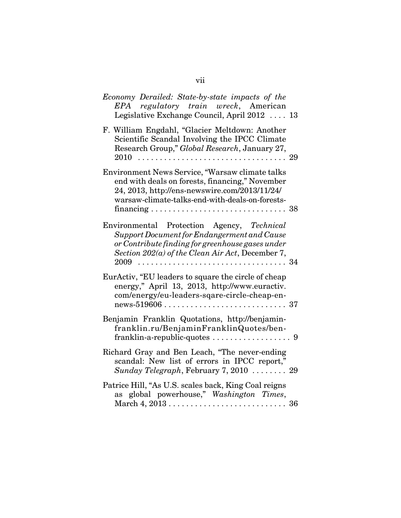| Economy Derailed: State-by-state impacts of the<br>EPA regulatory train wreck, American<br>Legislative Exchange Council, April 2012  13                                                                   |
|-----------------------------------------------------------------------------------------------------------------------------------------------------------------------------------------------------------|
| F. William Engdahl, "Glacier Meltdown: Another<br>Scientific Scandal Involving the IPCC Climate<br>Research Group," Global Research, January 27,                                                          |
| Environment News Service, "Warsaw climate talks<br>end with deals on forests, financing," November<br>24, 2013, http://ens-newswire.com/2013/11/24/<br>warsaw-climate-talks-end-with-deals-on-forests-    |
| Environmental Protection Agency, Technical<br>Support Document for Endangerment and Cause<br>or Contribute finding for greenhouse gases under<br>Section 202(a) of the Clean Air Act, December 7,<br>2009 |
| EurActiv, "EU leaders to square the circle of cheap<br>energy," April 13, 2013, http://www.euractiv.<br>com/energy/eu-leaders-sqare-circle-cheap-en-                                                      |
| Benjamin Franklin Quotations, http://benjamin-<br>franklin.ru/BenjaminFranklinQuotes/ben-                                                                                                                 |
| Richard Gray and Ben Leach, "The never-ending<br>scandal: New list of errors in IPCC report,"<br>Sunday Telegraph, February 7, 2010  29                                                                   |
| Patrice Hill, "As U.S. scales back, King Coal reigns<br>as global powerhouse," Washington Times,                                                                                                          |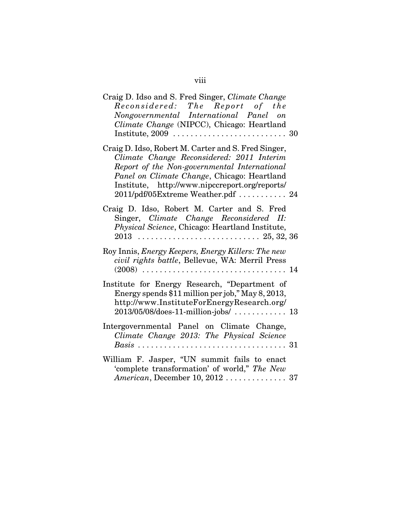| Craig D. Idso and S. Fred Singer, Climate Change<br>Reconsidered: The Report of the<br>Nongovernmental International Panel on<br>Climate Change (NIPCC), Chicago: Heartland                                                                                                             |  |
|-----------------------------------------------------------------------------------------------------------------------------------------------------------------------------------------------------------------------------------------------------------------------------------------|--|
| Craig D. Idso, Robert M. Carter and S. Fred Singer,<br>Climate Change Reconsidered: 2011 Interim<br>Report of the Non-governmental International<br>Panel on Climate Change, Chicago: Heartland<br>Institute, http://www.nipccreport.org/reports/<br>2011/pdf/05Extreme Weather.pdf  24 |  |
| Craig D. Idso, Robert M. Carter and S. Fred<br>Singer, Climate Change Reconsidered II:<br>Physical Science, Chicago: Heartland Institute,                                                                                                                                               |  |
| Roy Innis, <i>Energy Keepers, Energy Killers: The new</i><br>civil rights battle, Bellevue, WA: Merril Press                                                                                                                                                                            |  |
| Institute for Energy Research, "Department of<br>Energy spends \$11 million per job," May 8, 2013,<br>http://www.InstituteForEnergyResearch.org/<br>$2013/05/08/\text{does-}11\text{-million-}jobs/\dots\ldots\ldots\ldots\ 13$                                                         |  |
| Intergovernmental Panel on Climate Change,<br>Climate Change 2013: The Physical Science                                                                                                                                                                                                 |  |
| William F. Jasper, "UN summit fails to enact<br>'complete transformation' of world," The New<br>American, December 10, 2012  37                                                                                                                                                         |  |

viii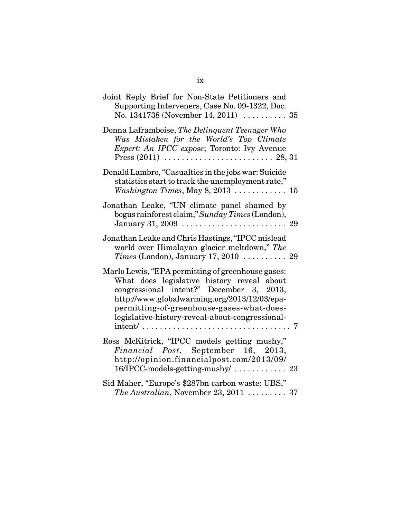| Joint Reply Brief for Non-State Petitioners and<br>Supporting Interveners, Case No. 09-1322, Doc.<br>No. 1341738 (November 14, 2011)  35                                                                                                                                                    |
|---------------------------------------------------------------------------------------------------------------------------------------------------------------------------------------------------------------------------------------------------------------------------------------------|
| Donna Laframboise, The Delinquent Teenager Who<br>Was Mistaken for the World's Top Climate<br>Expert: An IPCC expose; Toronto: Ivy Avenue                                                                                                                                                   |
| Donald Lambro, "Casualties in the jobs war: Suicide<br>statistics start to track the unemployment rate,"<br>Washington Times, May 8, 2013 $\ldots \ldots \ldots \ldots 15$                                                                                                                  |
| Jonathan Leake, "UN climate panel shamed by<br>bogus rainforest claim," Sunday Times (London),<br>January 31, 2009 $\ldots \ldots \ldots \ldots \ldots \ldots \ldots 29$                                                                                                                    |
| Jonathan Leake and Chris Hastings, "IPCC mislead<br>world over Himalayan glacier meltdown," The<br>Times (London), January 17, 2010 $\ldots \ldots \ldots$ 29                                                                                                                               |
| Marlo Lewis, "EPA permitting of greenhouse gases:<br>What does legislative history reveal about<br>congressional intent?" December 3, 2013,<br>http://www.globalwarming.org/2013/12/03/epa-<br>permitting-of-greenhouse-gases-what-does-<br>legislative-history-reveal-about-congressional- |
| Ross McKitrick, "IPCC models getting mushy,"<br>Financial Post, September 16, 2013,<br>http://opinion.financialpost.com/2013/09/                                                                                                                                                            |
| Sid Maher, "Europe's \$287bn carbon waste: UBS,"<br>The Australian, November 23, 2011 $\ldots \ldots \ldots$ 37                                                                                                                                                                             |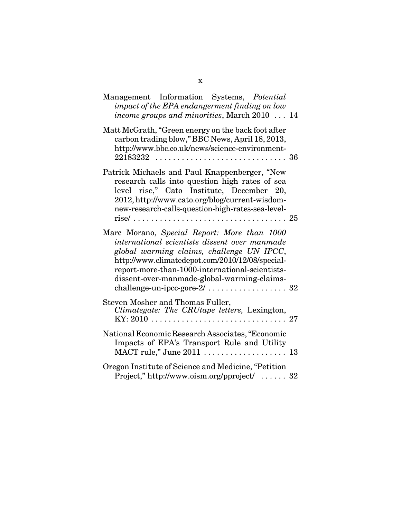| Management Information Systems, Potential<br>impact of the EPA endangerment finding on low<br>income groups and minorities, March 2010  14                                                                                                                                                     |  |
|------------------------------------------------------------------------------------------------------------------------------------------------------------------------------------------------------------------------------------------------------------------------------------------------|--|
| Matt McGrath, "Green energy on the back foot after<br>carbon trading blow," BBC News, April 18, 2013,<br>http://www.bbc.co.uk/news/science-environment-                                                                                                                                        |  |
| Patrick Michaels and Paul Knappenberger, "New<br>research calls into question high rates of sea<br>level rise," Cato Institute, December 20,<br>2012, http://www.cato.org/blog/current-wisdom-<br>new-research-calls-question-high-rates-sea-level-                                            |  |
| Marc Morano, Special Report: More than 1000<br>international scientists dissent over manmade<br>global warming claims, challenge UN IPCC,<br>http://www.climatedepot.com/2010/12/08/special-<br>report-more-than-1000-international-scientists-<br>dissent-over-manmade-global-warming-claims- |  |
| Steven Mosher and Thomas Fuller,<br>Climategate: The CRUtape letters, Lexington,                                                                                                                                                                                                               |  |
| National Economic Research Associates, "Economic<br>Impacts of EPA's Transport Rule and Utility                                                                                                                                                                                                |  |
| Oregon Institute of Science and Medicine, "Petition<br>Project," http://www.oism.org/pproject/  32                                                                                                                                                                                             |  |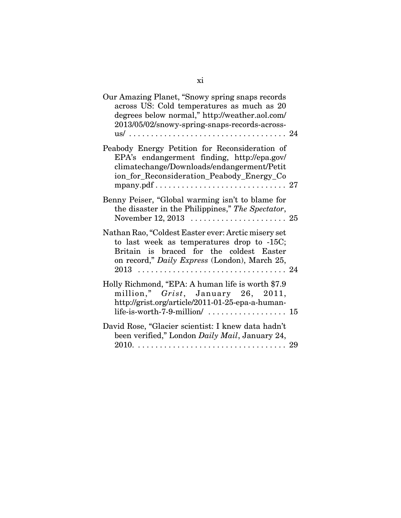| Our Amazing Planet, "Snowy spring snaps records"<br>across US: Cold temperatures as much as 20<br>degrees below normal," http://weather.aol.com/<br>2013/05/02/snowy-spring-snaps-records-across-                 |  |
|-------------------------------------------------------------------------------------------------------------------------------------------------------------------------------------------------------------------|--|
| Peabody Energy Petition for Reconsideration of<br>EPA's endangerment finding, http://epa.gov/<br>climatechange/Downloads/endangerment/Petit<br>ion_for_Reconsideration_Peabody_Energy_Co                          |  |
| Benny Peiser, "Global warming isn't to blame for<br>the disaster in the Philippines," The Spectator,                                                                                                              |  |
| Nathan Rao, "Coldest Easter ever: Arctic misery set<br>to last week as temperatures drop to -15C;<br>Britain is braced for the coldest Easter<br>on record," Daily Express (London), March 25,                    |  |
| Holly Richmond, "EPA: A human life is worth \$7.9<br>million," Grist, January 26, 2011,<br>http://grist.org/article/2011-01-25-epa-a-human-<br>life-is-worth-7-9-million/ $\ldots \ldots \ldots \ldots \ldots 15$ |  |
| David Rose, "Glacier scientist: I knew data hadn't<br>been verified," London Daily Mail, January 24,                                                                                                              |  |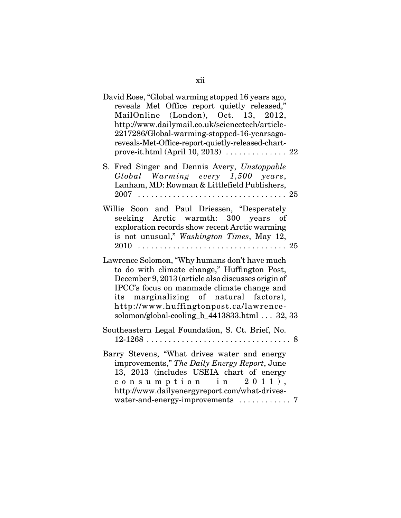| David Rose, "Global warming stopped 16 years ago,<br>reveals Met Office report quietly released,"<br>MailOnline (London), Oct. 13, 2012,<br>http://www.dailymail.co.uk/sciencetech/article-<br>2217286/Global-warming-stopped-16-yearsago-<br>reveals-Met-Office-report-quietly-released-chart-                                       |  |
|---------------------------------------------------------------------------------------------------------------------------------------------------------------------------------------------------------------------------------------------------------------------------------------------------------------------------------------|--|
| S. Fred Singer and Dennis Avery, Unstoppable<br>Global Warming every 1,500 years,<br>Lanham, MD: Rowman & Littlefield Publishers,                                                                                                                                                                                                     |  |
| Willie Soon and Paul Driessen, "Desperately<br>seeking Arctic warmth: 300 years of<br>exploration records show recent Arctic warming<br>is not unusual," Washington Times, May 12,                                                                                                                                                    |  |
| Lawrence Solomon, "Why humans don't have much<br>to do with climate change," Huffington Post,<br>December 9, 2013 (article also discusses origin of<br>IPCC's focus on manmade climate change and<br>its marginalizing of natural factors),<br>http://www.huffingtonpost.ca/lawrence-<br>solomon/global-cooling_b_4413833.html 32, 33 |  |
| Southeastern Legal Foundation, S. Ct. Brief, No.                                                                                                                                                                                                                                                                                      |  |
| Barry Stevens, "What drives water and energy<br>improvements," The Daily Energy Report, June<br>13, 2013 (includes USEIA chart of energy<br>consumption in 2011),<br>http://www.dailyenergyreport.com/what-drives-<br>water-and-energy-improvements  7                                                                                |  |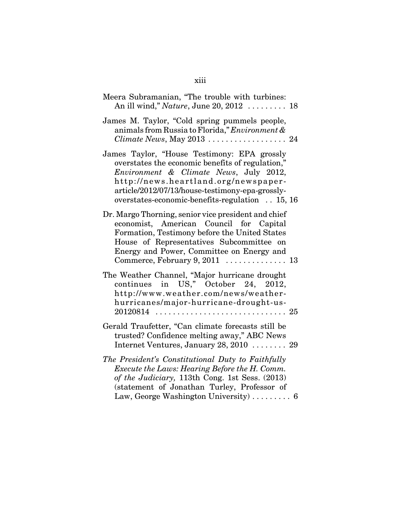| Meera Subramanian, "The trouble with turbines:<br>An ill wind," Nature, June 20, 2012  18                                                                                                                                                                                               |
|-----------------------------------------------------------------------------------------------------------------------------------------------------------------------------------------------------------------------------------------------------------------------------------------|
| James M. Taylor, "Cold spring pummels people,<br>animals from Russia to Florida," Environment &                                                                                                                                                                                         |
| James Taylor, "House Testimony: EPA grossly<br>overstates the economic benefits of regulation,"<br>Environment & Climate News, July 2012,<br>http://news.heartland.org/newspaper-<br>article/2012/07/13/house-testimony-epa-grossly-<br>overstates-economic-benefits-regulation  15, 16 |
| Dr. Margo Thorning, senior vice president and chief<br>economist, American Council for Capital<br>Formation, Testimony before the United States<br>House of Representatives Subcommittee on<br>Energy and Power, Committee on Energy and<br>Commerce, February $9, 2011$ 13             |
| The Weather Channel, "Major hurricane drought<br>continues in US," October 24, 2012,<br>http://www.weather.com/news/weather-<br>hurricanes/major-hurricane-drought-us-                                                                                                                  |
| Gerald Traufetter, "Can climate forecasts still be<br>trusted? Confidence melting away," ABC News<br>Internet Ventures, January 28, 2010  29                                                                                                                                            |
| The President's Constitutional Duty to Faithfully<br>Execute the Laws: Hearing Before the H. Comm.<br>of the Judiciary, 113th Cong. 1st Sess. (2013)<br>(statement of Jonathan Turley, Professor of<br>Law, George Washington University) $\ldots \ldots \ldots$ 6                      |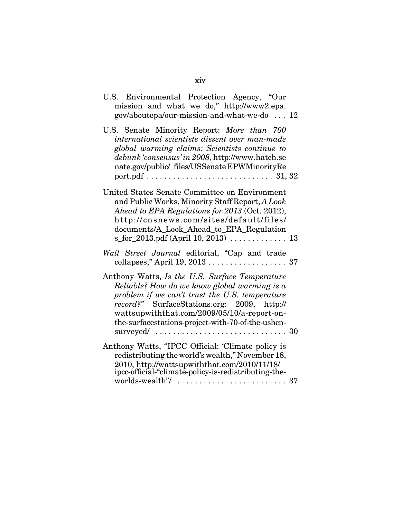| U.S. Environmental Protection Agency, "Our<br>mission and what we do," http://www2.epa.<br>gov/aboutepa/our-mission-and-what-we-do  12                                                                                                                                                              |  |
|-----------------------------------------------------------------------------------------------------------------------------------------------------------------------------------------------------------------------------------------------------------------------------------------------------|--|
| U.S. Senate Minority Report: More than 700<br>international scientists dissent over man-made<br>global warming claims: Scientists continue to<br>debunk 'consensus' in 2008, http://www.hatch.se<br>nate.gov/public/_files/USSenate EPWMinorityRe                                                   |  |
| United States Senate Committee on Environment<br>and Public Works, Minority Staff Report, A Look<br>Ahead to EPA Regulations for 2013 (Oct. 2012),<br>http://cnsnews.com/sites/default/files/<br>documents/A_Look_Ahead_to_EPA_Regulation<br>s_for_2013.pdf (April 10, 2013)  13                    |  |
| Wall Street Journal editorial, "Cap and trade                                                                                                                                                                                                                                                       |  |
| Anthony Watts, Is the U.S. Surface Temperature<br>Reliable? How do we know global warming is a<br>problem if we can't trust the U.S. temperature<br>record?" SurfaceStations.org: 2009, http://<br>wattsupwiththat.com/2009/05/10/a-report-on-<br>the-surfacestations-project-with-70-of-the-ushcn- |  |
| Anthony Watts, "IPCC Official: 'Climate policy is<br>redistributing the world's wealth," November 18,<br>2010, http://wattsupwiththat.com/2010/11/18/<br>ipcc-official-"climate-policy-is-redistributing-the-<br>worlds-wealth"/ $\ldots \ldots \ldots \ldots \ldots \ldots \ldots \ldots$ 37       |  |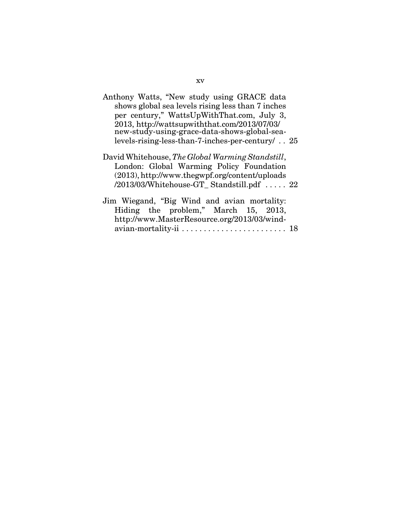| Anthony Watts, "New study using GRACE data<br>shows global sea levels rising less than 7 inches<br>per century," WattsUpWithThat.com, July 3,<br>2013, http://wattsupwiththat.com/2013/07/03/<br>new-study-using-grace-data-shows-global-sea-<br>levels-rising-less-than-7-inches-per-century  25 |  |
|---------------------------------------------------------------------------------------------------------------------------------------------------------------------------------------------------------------------------------------------------------------------------------------------------|--|
| David Whitehouse, The Global Warming Standstill,<br>London: Global Warming Policy Foundation<br>(2013), http://www.thegwpf.org/content/uploads<br>$/2013/03$ /Whitehouse-GT_Standstill.pdf  22                                                                                                    |  |
| Jim Wiegand, "Big Wind and avian mortality:                                                                                                                                                                                                                                                       |  |

|  | Jim wiegand, "Big wind and avian mortality:                                     |  |  |
|--|---------------------------------------------------------------------------------|--|--|
|  | Hiding the problem," March 15, 2013,                                            |  |  |
|  | http://www.MasterResource.org/2013/03/wind-                                     |  |  |
|  | avian-mortality-ii $\ldots \ldots \ldots \ldots \ldots \ldots \ldots \ldots$ 18 |  |  |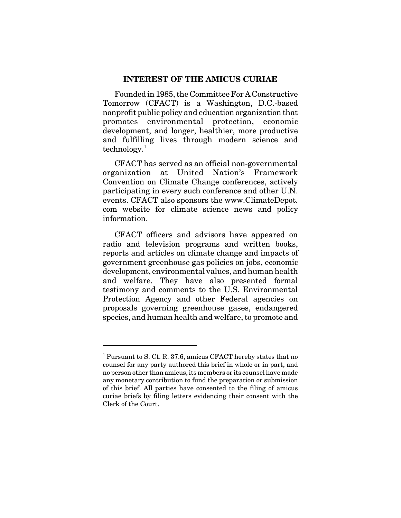#### **INTEREST OF THE AMICUS CURIAE**

Founded in 1985, the Committee For A Constructive Tomorrow (CFACT) is a Washington, D.C.-based nonprofit public policy and education organization that promotes environmental protection, economic development, and longer, healthier, more productive and fulfilling lives through modern science and  $technology.<sup>1</sup>$ 

CFACT has served as an official non-governmental organization at United Nation's Framework Convention on Climate Change conferences, actively participating in every such conference and other U.N. events. CFACT also sponsors the www.ClimateDepot. com website for climate science news and policy information.

CFACT officers and advisors have appeared on radio and television programs and written books, reports and articles on climate change and impacts of government greenhouse gas policies on jobs, economic development, environmental values, and human health and welfare. They have also presented formal testimony and comments to the U.S. Environmental Protection Agency and other Federal agencies on proposals governing greenhouse gases, endangered species, and human health and welfare, to promote and

<sup>&</sup>lt;sup>1</sup> Pursuant to S. Ct. R. 37.6, amicus CFACT hereby states that no counsel for any party authored this brief in whole or in part, and no person other than amicus, its members or its counsel have made any monetary contribution to fund the preparation or submission of this brief. All parties have consented to the filing of amicus curiae briefs by filing letters evidencing their consent with the Clerk of the Court.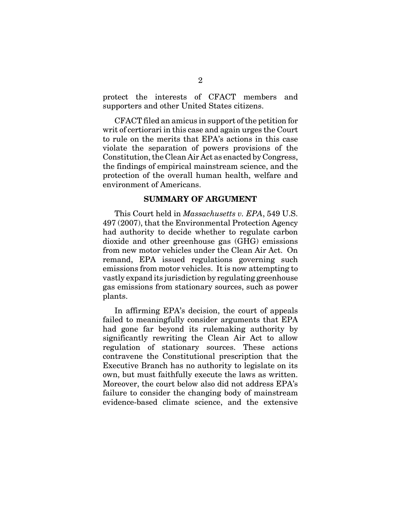protect the interests of CFACT members and supporters and other United States citizens.

CFACT filed an amicus in support of the petition for writ of certiorari in this case and again urges the Court to rule on the merits that EPA's actions in this case violate the separation of powers provisions of the Constitution, the Clean Air Act as enacted by Congress, the findings of empirical mainstream science, and the protection of the overall human health, welfare and environment of Americans.

#### **SUMMARY OF ARGUMENT**

This Court held in *Massachusetts v. EPA*, 549 U.S. 497 (2007), that the Environmental Protection Agency had authority to decide whether to regulate carbon dioxide and other greenhouse gas (GHG) emissions from new motor vehicles under the Clean Air Act. On remand, EPA issued regulations governing such emissions from motor vehicles. It is now attempting to vastly expand its jurisdiction by regulating greenhouse gas emissions from stationary sources, such as power plants.

In affirming EPA's decision, the court of appeals failed to meaningfully consider arguments that EPA had gone far beyond its rulemaking authority by significantly rewriting the Clean Air Act to allow regulation of stationary sources. These actions contravene the Constitutional prescription that the Executive Branch has no authority to legislate on its own, but must faithfully execute the laws as written. Moreover, the court below also did not address EPA's failure to consider the changing body of mainstream evidence-based climate science, and the extensive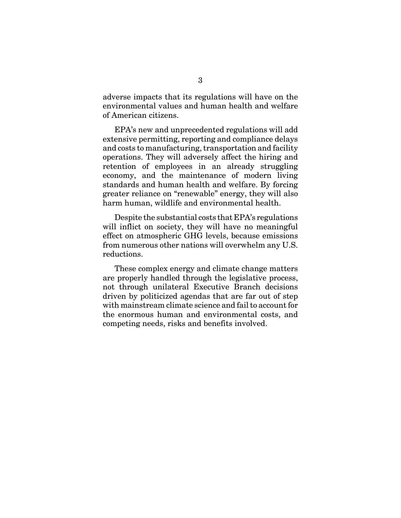adverse impacts that its regulations will have on the environmental values and human health and welfare of American citizens.

EPA's new and unprecedented regulations will add extensive permitting, reporting and compliance delays and costs to manufacturing, transportation and facility operations. They will adversely affect the hiring and retention of employees in an already struggling economy, and the maintenance of modern living standards and human health and welfare. By forcing greater reliance on "renewable" energy, they will also harm human, wildlife and environmental health.

Despite the substantial costs that EPA's regulations will inflict on society, they will have no meaningful effect on atmospheric GHG levels, because emissions from numerous other nations will overwhelm any U.S. reductions.

These complex energy and climate change matters are properly handled through the legislative process, not through unilateral Executive Branch decisions driven by politicized agendas that are far out of step with mainstream climate science and fail to account for the enormous human and environmental costs, and competing needs, risks and benefits involved.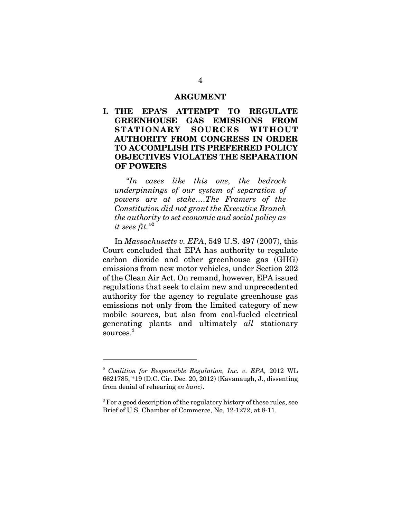#### **ARGUMENT**

**I. THE EPA'S ATTEMPT TO REGULATE GREENHOUSE GAS EMISSIONS FROM STATIONARY SOURCES WITHOUT AUTHORITY FROM CONGRESS IN ORDER TO ACCOMPLISH ITS PREFERRED POLICY OBJECTIVES VIOLATES THE SEPARATION OF POWERS** 

*"In cases like this one, the bedrock underpinnings of our system of separation of powers are at stake….The Framers of the Constitution did not grant the Executive Branch the authority to set economic and social policy as it sees fit."*<sup>2</sup>

In *Massachusetts v. EPA*, 549 U.S. 497 (2007), this Court concluded that EPA has authority to regulate carbon dioxide and other greenhouse gas (GHG) emissions from new motor vehicles, under Section 202 of the Clean Air Act. On remand, however, EPA issued regulations that seek to claim new and unprecedented authority for the agency to regulate greenhouse gas emissions not only from the limited category of new mobile sources, but also from coal-fueled electrical generating plants and ultimately *all* stationary sources.<sup>3</sup>

<sup>2</sup> *Coalition for Responsible Regulation, Inc. v. EPA,* 2012 WL 6621785, \*19 (D.C. Cir. Dec. 20, 2012) (Kavanaugh, J., dissenting from denial of rehearing *en banc)*.

<sup>&</sup>lt;sup>3</sup> For a good description of the regulatory history of these rules, see Brief of U.S. Chamber of Commerce, No. 12-1272, at 8-11.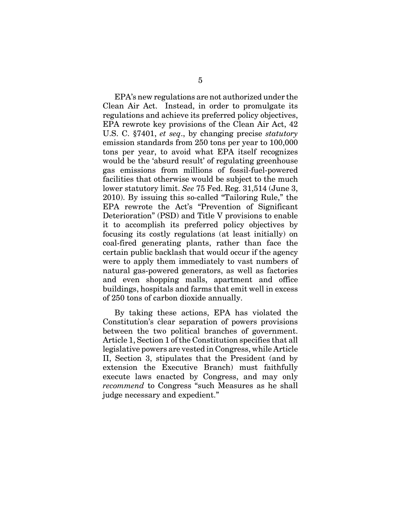EPA's new regulations are not authorized under the Clean Air Act. Instead, in order to promulgate its regulations and achieve its preferred policy objectives, EPA rewrote key provisions of the Clean Air Act, 42 U.S. C. §7401, *et seq*., by changing precise *statutory* emission standards from 250 tons per year to 100,000 tons per year, to avoid what EPA itself recognizes would be the 'absurd result' of regulating greenhouse gas emissions from millions of fossil-fuel-powered facilities that otherwise would be subject to the much lower statutory limit. *See* 75 Fed. Reg. 31,514 (June 3, 2010). By issuing this so-called "Tailoring Rule," the EPA rewrote the Act's "Prevention of Significant Deterioration" (PSD) and Title V provisions to enable it to accomplish its preferred policy objectives by focusing its costly regulations (at least initially) on coal-fired generating plants, rather than face the certain public backlash that would occur if the agency were to apply them immediately to vast numbers of natural gas-powered generators, as well as factories and even shopping malls, apartment and office buildings, hospitals and farms that emit well in excess of 250 tons of carbon dioxide annually.

By taking these actions, EPA has violated the Constitution's clear separation of powers provisions between the two political branches of government. Article 1, Section 1 of the Constitution specifies that all legislative powers are vested in Congress, while Article II, Section 3, stipulates that the President (and by extension the Executive Branch) must faithfully execute laws enacted by Congress, and may only *recommend* to Congress "such Measures as he shall judge necessary and expedient."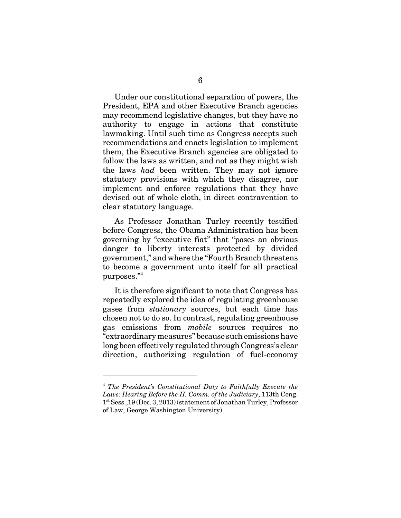Under our constitutional separation of powers, the President, EPA and other Executive Branch agencies may recommend legislative changes, but they have no authority to engage in actions that constitute lawmaking. Until such time as Congress accepts such recommendations and enacts legislation to implement them, the Executive Branch agencies are obligated to follow the laws as written, and not as they might wish the laws *had* been written. They may not ignore statutory provisions with which they disagree, nor implement and enforce regulations that they have devised out of whole cloth, in direct contravention to clear statutory language.

As Professor Jonathan Turley recently testified before Congress, the Obama Administration has been governing by "executive fiat" that "poses an obvious danger to liberty interests protected by divided government," and where the "Fourth Branch threatens to become a government unto itself for all practical purposes."4

It is therefore significant to note that Congress has repeatedly explored the idea of regulating greenhouse gases from *stationary* sources, but each time has chosen not to do so. In contrast, regulating greenhouse gas emissions from *mobile* sources requires no "extraordinary measures" because such emissions have long been effectively regulated through Congress's clear direction, authorizing regulation of fuel-economy

<sup>4</sup> *The President's Constitutional Duty to Faithfully Execute the Laws: Hearing Before the H. Comm. of the Judiciary*, 113th Cong. 1st Sess.,19 (Dec. 3, 2013) (statement of Jonathan Turley, Professor of Law, George Washington University).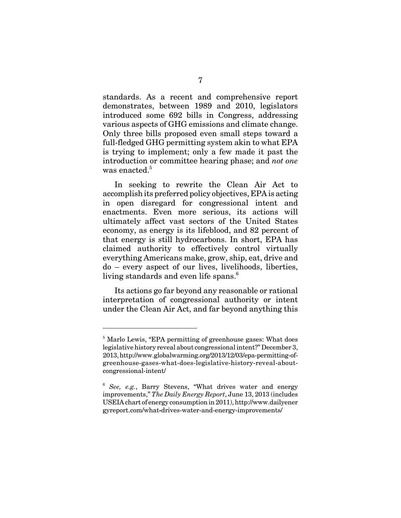standards. As a recent and comprehensive report demonstrates, between 1989 and 2010, legislators introduced some 692 bills in Congress, addressing various aspects of GHG emissions and climate change. Only three bills proposed even small steps toward a full-fledged GHG permitting system akin to what EPA is trying to implement; only a few made it past the introduction or committee hearing phase; and *not one* was enacted.<sup>5</sup>

In seeking to rewrite the Clean Air Act to accomplish its preferred policy objectives, EPA is acting in open disregard for congressional intent and enactments. Even more serious, its actions will ultimately affect vast sectors of the United States economy, as energy is its lifeblood, and 82 percent of that energy is still hydrocarbons. In short, EPA has claimed authority to effectively control virtually everything Americans make, grow, ship, eat, drive and do – every aspect of our lives, livelihoods, liberties, living standards and even life spans.<sup>6</sup>

Its actions go far beyond any reasonable or rational interpretation of congressional authority or intent under the Clean Air Act, and far beyond anything this

<sup>&</sup>lt;sup>5</sup> Marlo Lewis, "EPA permitting of greenhouse gases: What does legislative history reveal about congressional intent?" December 3, 2013, http://www.globalwarming.org/2013/12/03/epa-permitting-ofgreenhouse-gases-what-does-legislative-history-reveal-aboutcongressional-intent/

<sup>6</sup> *See, e.g.*, Barry Stevens, "What drives water and energy improvements," *The Daily Energy Report*, June 13, 2013 (includes USEIA chart of energy consumption in 2011), http://www.dailyener gyreport.com/what**-**drives-water-and-energy-improvements/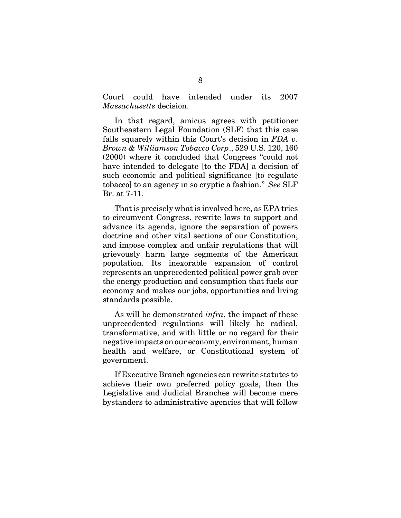Court could have intended under its 2007 *Massachusetts* decision.

In that regard, amicus agrees with petitioner Southeastern Legal Foundation (SLF) that this case falls squarely within this Court's decision in *FDA v. Brown & Williamson Tobacco Corp*., 529 U.S. 120, 160 (2000) where it concluded that Congress "could not have intended to delegate [to the FDA] a decision of such economic and political significance [to regulate tobacco] to an agency in so cryptic a fashion." *See* SLF Br. at 7-11.

That is precisely what is involved here, as EPA tries to circumvent Congress, rewrite laws to support and advance its agenda, ignore the separation of powers doctrine and other vital sections of our Constitution, and impose complex and unfair regulations that will grievously harm large segments of the American population. Its inexorable expansion of control represents an unprecedented political power grab over the energy production and consumption that fuels our economy and makes our jobs, opportunities and living standards possible.

As will be demonstrated *infra*, the impact of these unprecedented regulations will likely be radical, transformative, and with little or no regard for their negative impacts on our economy, environment, human health and welfare, or Constitutional system of government.

If Executive Branch agencies can rewrite statutes to achieve their own preferred policy goals, then the Legislative and Judicial Branches will become mere bystanders to administrative agencies that will follow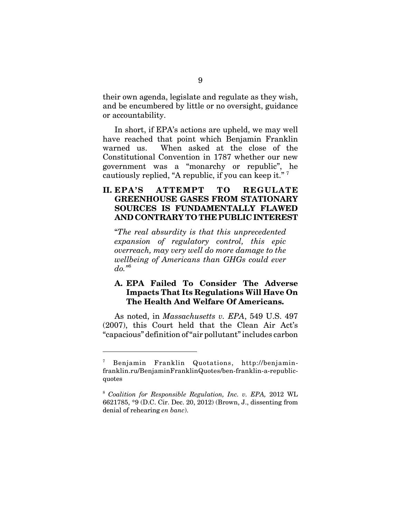their own agenda, legislate and regulate as they wish, and be encumbered by little or no oversight, guidance or accountability.

In short, if EPA's actions are upheld, we may well have reached that point which Benjamin Franklin warned us. When asked at the close of the Constitutional Convention in 1787 whether our new government was a "monarchy or republic", he cautiously replied, "A republic, if you can keep it." 7

# **II. EPA'S ATTEMPT TO REGULATE GREENHOUSE GASES FROM STATIONARY SOURCES IS FUNDAMENTALLY FLAWED AND CONTRARY TO THE PUBLIC INTEREST**

"*The real absurdity is that this unprecedented expansion of regulatory control, this epic overreach, may very well do more damage to the wellbeing of Americans than GHGs could ever do."*<sup>8</sup>

### **A. EPA Failed To Consider The Adverse Impacts That Its Regulations Will Have On The Health And Welfare Of Americans.**

As noted, in *Massachusetts v. EPA*, 549 U.S. 497 (2007), this Court held that the Clean Air Act's "capacious" definition of "air pollutant" includes carbon

<sup>7</sup> Benjamin Franklin Quotations, http://benjaminfranklin.ru/BenjaminFranklinQuotes/ben-franklin-a-republicquotes

<sup>8</sup> *Coalition for Responsible Regulation, Inc. v. EPA,* 2012 WL 6621785, \*9 (D.C. Cir. Dec. 20, 2012) (Brown, J., dissenting from denial of rehearing *en banc*).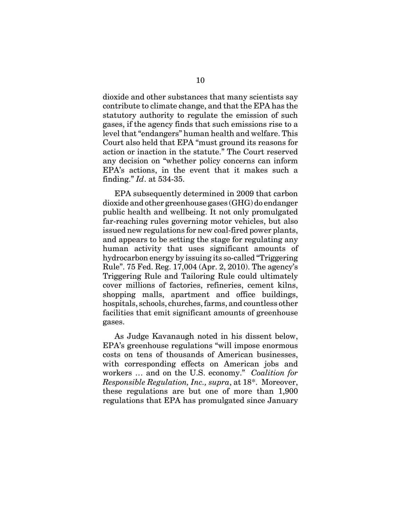dioxide and other substances that many scientists say contribute to climate change, and that the EPA has the statutory authority to regulate the emission of such gases, if the agency finds that such emissions rise to a level that "endangers" human health and welfare. This Court also held that EPA "must ground its reasons for action or inaction in the statute." The Court reserved any decision on "whether policy concerns can inform EPA's actions, in the event that it makes such a finding." *Id*. at 534-35.

EPA subsequently determined in 2009 that carbon dioxide and other greenhouse gases (GHG) do endanger public health and wellbeing. It not only promulgated far-reaching rules governing motor vehicles, but also issued new regulations for new coal-fired power plants, and appears to be setting the stage for regulating any human activity that uses significant amounts of hydrocarbon energy by issuing its so-called "Triggering Rule". 75 Fed. Reg. 17,004 (Apr. 2, 2010). The agency's Triggering Rule and Tailoring Rule could ultimately cover millions of factories, refineries, cement kilns, shopping malls, apartment and office buildings, hospitals, schools, churches, farms, and countless other facilities that emit significant amounts of greenhouse gases.

As Judge Kavanaugh noted in his dissent below, EPA's greenhouse regulations "will impose enormous costs on tens of thousands of American businesses, with corresponding effects on American jobs and workers … and on the U.S. economy." *Coalition for Responsible Regulation, Inc., supra*, at 18\*. Moreover, these regulations are but one of more than 1,900 regulations that EPA has promulgated since January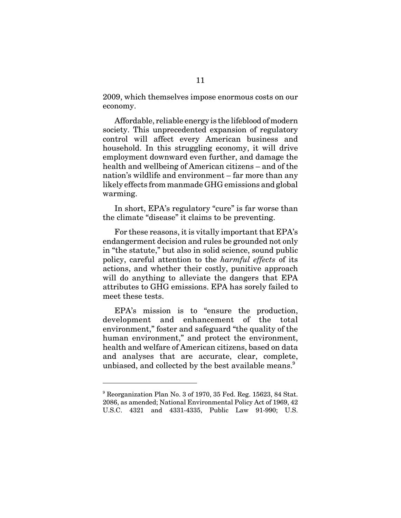2009, which themselves impose enormous costs on our economy.

Affordable, reliable energy is the lifeblood of modern society. This unprecedented expansion of regulatory control will affect every American business and household. In this struggling economy, it will drive employment downward even further, and damage the health and wellbeing of American citizens – and of the nation's wildlife and environment – far more than any likely effects from manmade GHG emissions and global warming.

In short, EPA's regulatory "cure" is far worse than the climate "disease" it claims to be preventing.

For these reasons, it is vitally important that EPA's endangerment decision and rules be grounded not only in "the statute," but also in solid science, sound public policy, careful attention to the *harmful effects* of its actions, and whether their costly, punitive approach will do anything to alleviate the dangers that EPA attributes to GHG emissions. EPA has sorely failed to meet these tests.

EPA's mission is to "ensure the production, development and enhancement of the total environment," foster and safeguard "the quality of the human environment," and protect the environment, health and welfare of American citizens, based on data and analyses that are accurate, clear, complete, unbiased, and collected by the best available means.<sup>9</sup>

<sup>&</sup>lt;sup>9</sup> Reorganization Plan No. 3 of 1970, 35 Fed. Reg. 15623, 84 Stat. 2086, as amended; National Environmental Policy Act of 1969, 42 U.S.C. 4321 and 4331-4335, Public Law 91-990; U.S.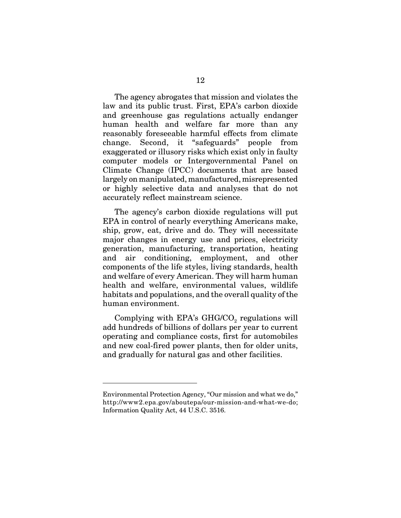The agency abrogates that mission and violates the law and its public trust. First, EPA's carbon dioxide and greenhouse gas regulations actually endanger human health and welfare far more than any reasonably foreseeable harmful effects from climate change. Second, it "safeguards" people from exaggerated or illusory risks which exist only in faulty computer models or Intergovernmental Panel on Climate Change (IPCC) documents that are based largely on manipulated, manufactured, misrepresented or highly selective data and analyses that do not accurately reflect mainstream science.

The agency's carbon dioxide regulations will put EPA in control of nearly everything Americans make, ship, grow, eat, drive and do. They will necessitate major changes in energy use and prices, electricity generation, manufacturing, transportation, heating and air conditioning, employment, and other components of the life styles, living standards, health and welfare of every American. They will harm human health and welfare, environmental values, wildlife habitats and populations, and the overall quality of the human environment.

Complying with EPA's  $GHG/CO<sub>2</sub>$  regulations will add hundreds of billions of dollars per year to current operating and compliance costs, first for automobiles and new coal-fired power plants, then for older units, and gradually for natural gas and other facilities.

Environmental Protection Agency, "Our mission and what we do," http://www2.epa.gov/aboutepa/our-mission-and-what-we-do; Information Quality Act, 44 U.S.C. 3516.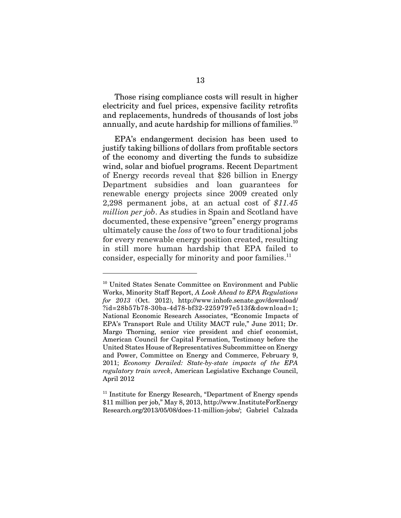Those rising compliance costs will result in higher electricity and fuel prices, expensive facility retrofits and replacements, hundreds of thousands of lost jobs annually, and acute hardship for millions of families.<sup>10</sup>

EPA's endangerment decision has been used to justify taking billions of dollars from profitable sectors of the economy and diverting the funds to subsidize wind, solar and biofuel programs. Recent Department of Energy records reveal that \$26 billion in Energy Department subsidies and loan guarantees for renewable energy projects since 2009 created only 2,298 permanent jobs, at an actual cost of *\$11.45 million per job*. As studies in Spain and Scotland have documented, these expensive "green" energy programs ultimately cause the *loss* of two to four traditional jobs for every renewable energy position created, resulting in still more human hardship that EPA failed to consider, especially for minority and poor families. $^{11}$ 

<sup>&</sup>lt;sup>10</sup> United States Senate Committee on Environment and Public Works, Minority Staff Report, *A Look Ahead to EPA Regulations for 2013* (Oct. 2012), http://www.inhofe.senate.gov/download/ ?id=28b57b78-30ba-4d78-bf32-2259797e513f&download=1; National Economic Research Associates, "Economic Impacts of EPA's Transport Rule and Utility MACT rule," June 2011; Dr. Margo Thorning, senior vice president and chief economist, American Council for Capital Formation, Testimony before the United States House of Representatives Subcommittee on Energy and Power, Committee on Energy and Commerce, February 9, 2011; *Economy Derailed: State-by-state impacts of the EPA regulatory train wreck*, American Legislative Exchange Council, April 2012

<sup>&</sup>lt;sup>11</sup> Institute for Energy Research, "Department of Energy spends \$11 million per job," May 8, 2013, http://www.InstituteForEnergy Research.org/2013/05/08/does-11-million-jobs/; Gabriel Calzada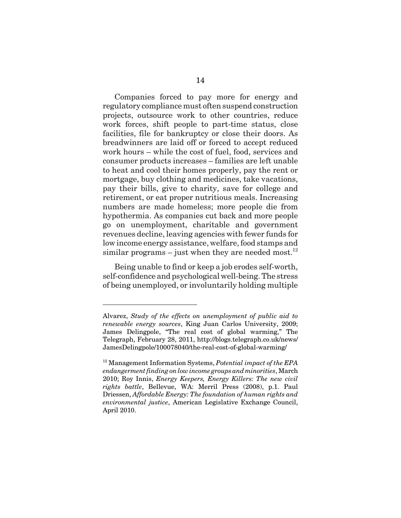Companies forced to pay more for energy and regulatory compliance must often suspend construction projects, outsource work to other countries, reduce work forces, shift people to part-time status, close facilities, file for bankruptcy or close their doors. As breadwinners are laid off or forced to accept reduced work hours – while the cost of fuel, food, services and consumer products increases – families are left unable to heat and cool their homes properly, pay the rent or mortgage, buy clothing and medicines, take vacations, pay their bills, give to charity, save for college and retirement, or eat proper nutritious meals. Increasing numbers are made homeless; more people die from hypothermia. As companies cut back and more people go on unemployment, charitable and government revenues decline, leaving agencies with fewer funds for low income energy assistance, welfare, food stamps and similar programs – just when they are needed most.<sup>12</sup>

Being unable to find or keep a job erodes self-worth, self-confidence and psychological well-being. The stress of being unemployed, or involuntarily holding multiple

Alvarez, *Study of the effects on unemployment of public aid to renewable energy sources*, King Juan Carlos University, 2009; James Delingpole, "The real cost of global warming," The Telegraph, February 28, 2011, http://blogs.telegraph.co.uk/news/ JamesDelingpole/100078040/the-real-cost-of-global-warming/

<sup>12</sup> Management Information Systems, *Potential impact of the EPA endangerment finding on low income groups and minorities*, March 2010; Roy Innis, *Energy Keepers, Energy Killers: The new civil rights battle*, Bellevue, WA: Merril Press (2008), p.1. Paul Driessen, *Affordable Energy: The foundation of human rights and environmental justice*, American Legislative Exchange Council, April 2010.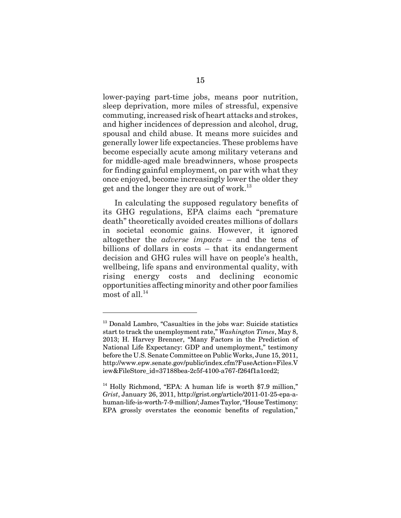lower-paying part-time jobs, means poor nutrition, sleep deprivation, more miles of stressful, expensive commuting, increased risk of heart attacks and strokes, and higher incidences of depression and alcohol, drug, spousal and child abuse. It means more suicides and generally lower life expectancies. These problems have become especially acute among military veterans and for middle-aged male breadwinners, whose prospects for finding gainful employment, on par with what they once enjoyed, become increasingly lower the older they get and the longer they are out of work.<sup>13</sup>

In calculating the supposed regulatory benefits of its GHG regulations, EPA claims each "premature death" theoretically avoided creates millions of dollars in societal economic gains. However, it ignored altogether the *adverse impacts* – and the tens of billions of dollars in costs – that its endangerment decision and GHG rules will have on people's health, wellbeing, life spans and environmental quality, with rising energy costs and declining economic opportunities affecting minority and other poor families most of all. $^{14}$ 

<sup>&</sup>lt;sup>13</sup> Donald Lambro, "Casualties in the jobs war: Suicide statistics start to track the unemployment rate," *Washington Times*, May 8, 2013; H. Harvey Brenner, "Many Factors in the Prediction of National Life Expectancy: GDP and unemployment," testimony before the U.S. Senate Committee on Public Works, June 15, 2011, http://www.epw.senate.gov/public/index.cfm?FuseAction=Files.V iew&FileStore\_id=37188bea-2c5f-4100-a767-f264f1a1ced2;

 $14$  Holly Richmond, "EPA: A human life is worth \$7.9 million." *Grist*, January 26, 2011, http://grist.org/article/2011-01-25-epa-ahuman-life-is-worth-7-9-million/; James Taylor, "House Testimony: EPA grossly overstates the economic benefits of regulation,"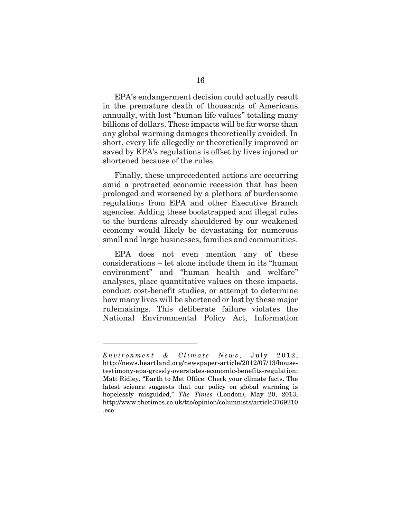EPA's endangerment decision could actually result in the premature death of thousands of Americans annually, with lost "human life values" totaling many billions of dollars. These impacts will be far worse than any global warming damages theoretically avoided. In short, every life allegedly or theoretically improved or saved by EPA's regulations is offset by lives injured or shortened because of the rules.

Finally, these unprecedented actions are occurring amid a protracted economic recession that has been prolonged and worsened by a plethora of burdensome regulations from EPA and other Executive Branch agencies. Adding these bootstrapped and illegal rules to the burdens already shouldered by our weakened economy would likely be devastating for numerous small and large businesses, families and communities.

EPA does not even mention any of these considerations – let alone include them in its "human environment" and "human health and welfare" analyses, place quantitative values on these impacts, conduct cost-benefit studies, or attempt to determine how many lives will be shortened or lost by these major rulemakings. This deliberate failure violates the National Environmental Policy Act, Information

*Environment & Climate News* , July 2012, http://news.heartland.org/newspaper-article/2012/07/13/housetestimony-epa-grossly-overstates-economic-benefits-regulation; Matt Ridley, "Earth to Met Office: Check your climate facts. The latest science suggests that our policy on global warming is hopelessly misguided," *The Times* (London), May 20, 2013, http://www.thetimes.co.uk/tto/opinion/columnists/article3769210 .ece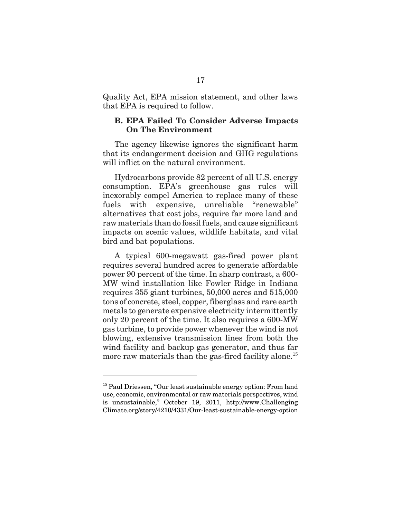Quality Act, EPA mission statement, and other laws that EPA is required to follow.

#### **B. EPA Failed To Consider Adverse Impacts On The Environment**

The agency likewise ignores the significant harm that its endangerment decision and GHG regulations will inflict on the natural environment.

Hydrocarbons provide 82 percent of all U.S. energy consumption. EPA's greenhouse gas rules will inexorably compel America to replace many of these fuels with expensive, unreliable "renewable" alternatives that cost jobs, require far more land and raw materials than do fossil fuels, and cause significant impacts on scenic values, wildlife habitats, and vital bird and bat populations.

A typical 600-megawatt gas-fired power plant requires several hundred acres to generate affordable power 90 percent of the time. In sharp contrast, a 600- MW wind installation like Fowler Ridge in Indiana requires 355 giant turbines, 50,000 acres and 515,000 tons of concrete, steel, copper, fiberglass and rare earth metals to generate expensive electricity intermittently only 20 percent of the time. It also requires a 600-MW gas turbine, to provide power whenever the wind is not blowing, extensive transmission lines from both the wind facility and backup gas generator, and thus far more raw materials than the gas-fired facility alone.<sup>15</sup>

<sup>&</sup>lt;sup>15</sup> Paul Driessen, "Our least sustainable energy option: From land use, economic, environmental or raw materials perspectives, wind is unsustainable," October 19, 2011, http://www.Challenging Climate.org/story/4210/4331/Our-least-sustainable-energy-option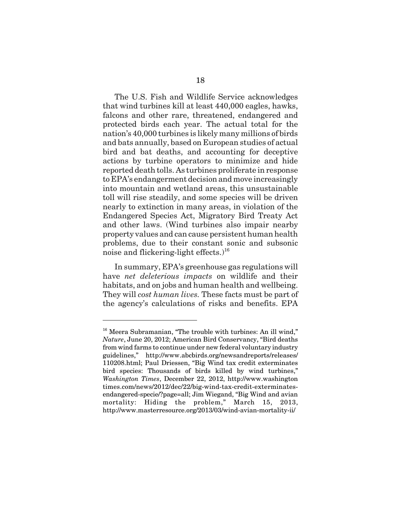The U.S. Fish and Wildlife Service acknowledges that wind turbines kill at least 440,000 eagles, hawks, falcons and other rare, threatened, endangered and protected birds each year. The actual total for the nation's 40,000 turbines is likely many millions of birds and bats annually, based on European studies of actual bird and bat deaths, and accounting for deceptive actions by turbine operators to minimize and hide reported death tolls. As turbines proliferate in response to EPA's endangerment decision and move increasingly into mountain and wetland areas, this unsustainable toll will rise steadily, and some species will be driven nearly to extinction in many areas, in violation of the Endangered Species Act, Migratory Bird Treaty Act and other laws. (Wind turbines also impair nearby property values and can cause persistent human health problems, due to their constant sonic and subsonic noise and flickering-light effects. $1^{16}$ 

In summary, EPA's greenhouse gas regulations will have *net deleterious impacts* on wildlife and their habitats, and on jobs and human health and wellbeing. They will *cost human lives.* These facts must be part of the agency's calculations of risks and benefits. EPA

<sup>&</sup>lt;sup>16</sup> Meera Subramanian, "The trouble with turbines: An ill wind," *Nature*, June 20, 2012; American Bird Conservancy, "Bird deaths from wind farms to continue under new federal voluntary industry guidelines," http://www.abcbirds.org/newsandreports/releases/ 110208.html; Paul Driessen, "Big Wind tax credit exterminates bird species: Thousands of birds killed by wind turbines," *Washington Times*, December 22, 2012, http://www.washington times.com/news/2012/dec/22/big-wind-tax-credit-exterminatesendangered-specie/?page=all; Jim Wiegand, "Big Wind and avian mortality: Hiding the problem," March 15, 2013, http://www.masterresource.org/2013/03/wind-avian-mortality-ii/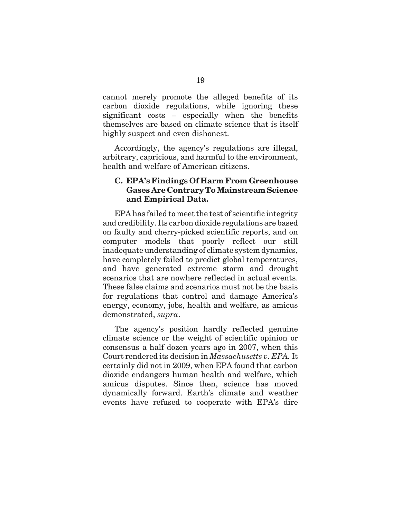cannot merely promote the alleged benefits of its carbon dioxide regulations, while ignoring these significant costs – especially when the benefits themselves are based on climate science that is itself highly suspect and even dishonest.

Accordingly, the agency's regulations are illegal, arbitrary, capricious, and harmful to the environment, health and welfare of American citizens.

### **C. EPA's Findings Of Harm From Greenhouse Gases Are Contrary To Mainstream Science and Empirical Data.**

EPA has failed to meet the test of scientific integrity and credibility. Its carbon dioxide regulations are based on faulty and cherry-picked scientific reports, and on computer models that poorly reflect our still inadequate understanding of climate system dynamics, have completely failed to predict global temperatures, and have generated extreme storm and drought scenarios that are nowhere reflected in actual events. These false claims and scenarios must not be the basis for regulations that control and damage America's energy, economy, jobs, health and welfare, as amicus demonstrated, *supra*.

The agency's position hardly reflected genuine climate science or the weight of scientific opinion or consensus a half dozen years ago in 2007, when this Court rendered its decision in *Massachusetts v. EPA.* It certainly did not in 2009, when EPA found that carbon dioxide endangers human health and welfare, which amicus disputes. Since then, science has moved dynamically forward. Earth's climate and weather events have refused to cooperate with EPA's dire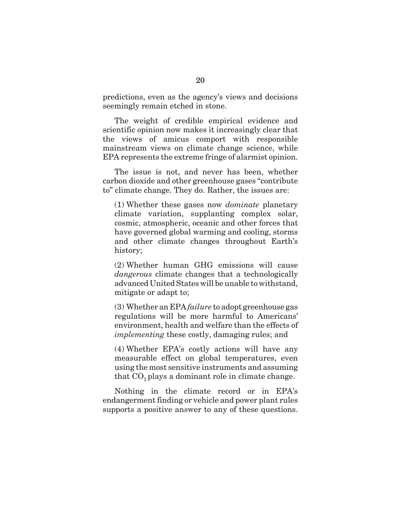predictions, even as the agency's views and decisions seemingly remain etched in stone.

The weight of credible empirical evidence and scientific opinion now makes it increasingly clear that the views of amicus comport with responsible mainstream views on climate change science, while EPA represents the extreme fringe of alarmist opinion.

The issue is not, and never has been, whether carbon dioxide and other greenhouse gases "contribute to" climate change. They do. Rather, the issues are:

(1) Whether these gases now *dominate* planetary climate variation, supplanting complex solar, cosmic, atmospheric, oceanic and other forces that have governed global warming and cooling, storms and other climate changes throughout Earth's history;

(2) Whether human GHG emissions will cause *dangerous* climate changes that a technologically advanced United States will be unable to withstand, mitigate or adapt to;

(3) Whether an EPA *failure* to adopt greenhouse gas regulations will be more harmful to Americans' environment, health and welfare than the effects of *implementing* these costly, damaging rules; and

(4) Whether EPA's costly actions will have any measurable effect on global temperatures, even using the most sensitive instruments and assuming that  $CO<sub>2</sub>$  plays a dominant role in climate change.

Nothing in the climate record or in EPA's endangerment finding or vehicle and power plant rules supports a positive answer to any of these questions.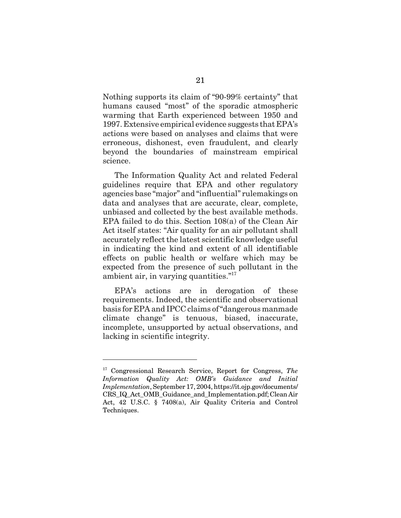Nothing supports its claim of "90-99% certainty" that humans caused "most" of the sporadic atmospheric warming that Earth experienced between 1950 and 1997. Extensive empirical evidence suggests that EPA's actions were based on analyses and claims that were erroneous, dishonest, even fraudulent, and clearly beyond the boundaries of mainstream empirical science.

The Information Quality Act and related Federal guidelines require that EPA and other regulatory agencies base "major" and "influential" rulemakings on data and analyses that are accurate, clear, complete, unbiased and collected by the best available methods. EPA failed to do this. Section 108(a) of the Clean Air Act itself states: "Air quality for an air pollutant shall accurately reflect the latest scientific knowledge useful in indicating the kind and extent of all identifiable effects on public health or welfare which may be expected from the presence of such pollutant in the ambient air, in varying quantities."17

EPA's actions are in derogation of these requirements. Indeed, the scientific and observational basis for EPA and IPCC claims of "dangerous manmade climate change" is tenuous, biased, inaccurate, incomplete, unsupported by actual observations, and lacking in scientific integrity.

<sup>17</sup> Congressional Research Service, Report for Congress, *The Information Quality Act: OMB's Guidance and Initial Implementation*, September 17, 2004, https://it.ojp.gov/documents/ CRS\_IQ\_Act\_OMB\_Guidance\_and\_Implementation.pdf; Clean Air Act, 42 U.S.C. § 7408(a), Air Quality Criteria and Control Techniques.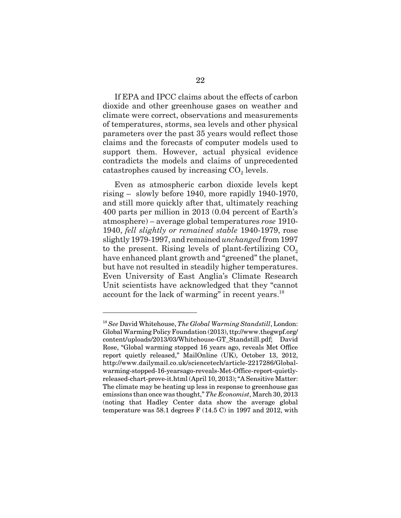If EPA and IPCC claims about the effects of carbon dioxide and other greenhouse gases on weather and climate were correct, observations and measurements of temperatures, storms, sea levels and other physical parameters over the past 35 years would reflect those claims and the forecasts of computer models used to support them. However, actual physical evidence contradicts the models and claims of unprecedented catastrophes caused by increasing  $CO<sub>2</sub>$  levels.

Even as atmospheric carbon dioxide levels kept rising – slowly before 1940, more rapidly 1940-1970, and still more quickly after that, ultimately reaching 400 parts per million in 2013 (0.04 percent of Earth's atmosphere) – average global temperatures *rose* 1910- 1940, *fell slightly or remained stable* 1940-1979, rose slightly 1979-1997, and remained *unchanged* from 1997 to the present. Rising levels of plant-fertilizing  $CO<sub>2</sub>$ have enhanced plant growth and "greened" the planet, but have not resulted in steadily higher temperatures. Even University of East Anglia's Climate Research Unit scientists have acknowledged that they "cannot account for the lack of warming" in recent years.<sup>18</sup>

<sup>18</sup> *See* David Whitehouse, *The Global Warming Standstill*, London: Global Warming Policy Foundation (2013), ttp://www.thegwpf.org/ content/uploads/2013/03/Whitehouse-GT\_Standstill.pdf; David Rose, "Global warming stopped 16 years ago, reveals Met Office report quietly released," MailOnline (UK), October 13, 2012, http://www.dailymail.co.uk/sciencetech/article-2217286/Globalwarming-stopped-16-yearsago-reveals-Met-Office-report-quietlyreleased-chart-prove-it.html (April 10, 2013); "A Sensitive Matter: The climate may be heating up less in response to greenhouse gas emissions than once was thought," *The Economist*, March 30, 2013 (noting that Hadley Center data show the average global temperature was 58.1 degrees F (14.5 C) in 1997 and 2012, with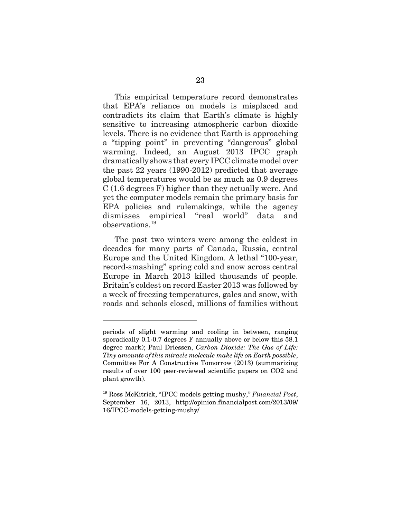This empirical temperature record demonstrates that EPA's reliance on models is misplaced and contradicts its claim that Earth's climate is highly sensitive to increasing atmospheric carbon dioxide levels. There is no evidence that Earth is approaching a "tipping point" in preventing "dangerous" global warming. Indeed, an August 2013 IPCC graph dramatically shows that every IPCC climate model over the past 22 years (1990-2012) predicted that average global temperatures would be as much as 0.9 degrees C (1.6 degrees F) higher than they actually were. And yet the computer models remain the primary basis for EPA policies and rulemakings, while the agency dismisses empirical "real world" data and observations.<sup>19</sup>

The past two winters were among the coldest in decades for many parts of Canada, Russia, central Europe and the United Kingdom. A lethal "100-year, record-smashing" spring cold and snow across central Europe in March 2013 killed thousands of people. Britain's coldest on record Easter 2013 was followed by a week of freezing temperatures, gales and snow, with roads and schools closed, millions of families without

periods of slight warming and cooling in between, ranging sporadically 0.1-0.7 degrees F annually above or below this 58.1 degree mark); Paul Driessen, *Carbon Dioxide: The Gas of Life: Tiny amounts of this miracle molecule make life on Earth possible*, Committee For A Constructive Tomorrow (2013) (summarizing results of over 100 peer-reviewed scientific papers on CO2 and plant growth).

<sup>19</sup> Ross McKitrick, "IPCC models getting mushy," *Financial Post*, September 16, 2013, http://opinion.financialpost.com/2013/09/ 16/IPCC-models-getting-mushy/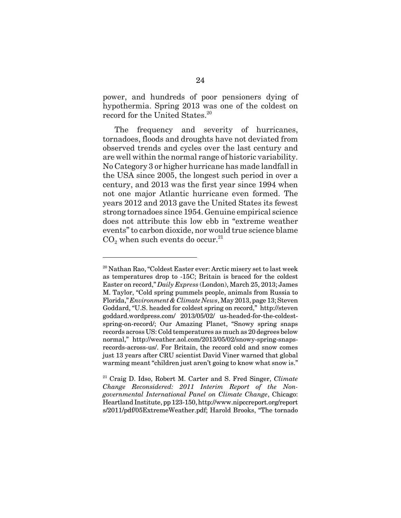power, and hundreds of poor pensioners dying of hypothermia. Spring 2013 was one of the coldest on record for the United States.<sup>20</sup>

The frequency and severity of hurricanes, tornadoes, floods and droughts have not deviated from observed trends and cycles over the last century and are well within the normal range of historic variability. No Category 3 or higher hurricane has made landfall in the USA since 2005, the longest such period in over a century, and 2013 was the first year since 1994 when not one major Atlantic hurricane even formed. The years 2012 and 2013 gave the United States its fewest strong tornadoes since 1954. Genuine empirical science does not attribute this low ebb in "extreme weather events" to carbon dioxide, nor would true science blame  $CO<sub>2</sub>$  when such events do occur.<sup>21</sup>

<sup>&</sup>lt;sup>20</sup> Nathan Rao, "Coldest Easter ever: Arctic misery set to last week as temperatures drop to -15C; Britain is braced for the coldest Easter on record," *Daily Express* (London), March 25, 2013; James M. Taylor, "Cold spring pummels people, animals from Russia to Florida," *Environment & Climate News*, May 2013, page 13; Steven Goddard, "U.S. headed for coldest spring on record," http://steven goddard.wordpress.com/ 2013/05/02/ us-headed-for-the-coldestspring-on-record/; Our Amazing Planet, "Snowy spring snaps records across US: Cold temperatures as much as 20 degrees below normal," http://weather.aol.com/2013/05/02/snowy-spring-snapsrecords-across-us/. For Britain, the record cold and snow comes just 13 years after CRU scientist David Viner warned that global warming meant "children just aren't going to know what snow is."

<sup>21</sup> Craig D. Idso, Robert M. Carter and S. Fred Singer, *Climate Change Reconsidered: 2011 Interim Report of the Nongovernmental International Panel on Climate Change*, Chicago: Heartland Institute, pp 123-150, http://www.nipccreport.org/report s/2011/pdf/05ExtremeWeather.pdf; Harold Brooks, "The tornado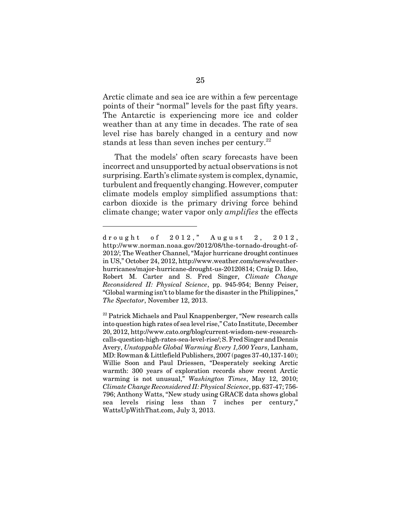Arctic climate and sea ice are within a few percentage points of their "normal" levels for the past fifty years. The Antarctic is experiencing more ice and colder weather than at any time in decades. The rate of sea level rise has barely changed in a century and now stands at less than seven inches per century.<sup>22</sup>

That the models' often scary forecasts have been incorrect and unsupported by actual observations is not surprising. Earth's climate system is complex, dynamic, turbulent and frequently changing. However, computer climate models employ simplified assumptions that: carbon dioxide is the primary driving force behind climate change; water vapor only *amplifies* the effects

drought of 2012," August 2, 2012, http://www.norman.noaa.gov/2012/08/the-tornado-drought-of-2012/; The Weather Channel, "Major hurricane drought continues in US," October 24, 2012, http://www.weather.com/news/weatherhurricanes/major-hurricane-drought-us-20120814; Craig D. Idso, Robert M. Carter and S. Fred Singer, *Climate Change Reconsidered II: Physical Science*, pp. 945-954; Benny Peiser, "Global warming isn't to blame for the disaster in the Philippines," *The Spectator*, November 12, 2013.

<sup>&</sup>lt;sup>22</sup> Patrick Michaels and Paul Knappenberger, "New research calls into question high rates of sea level rise," Cato Institute, December 20, 2012, http://www.cato.org/blog/current-wisdom-new-researchcalls-question-high-rates-sea-level-rise/; S. Fred Singer and Dennis Avery, *Unstoppable Global Warming Every 1,500 Years*, Lanham, MD: Rowman & Littlefield Publishers, 2007 (pages 37-40,137-140); Willie Soon and Paul Driessen, "Desperately seeking Arctic warmth: 300 years of exploration records show recent Arctic warming is not unusual," *Washington Times*, May 12, 2010; *Climate Change Reconsidered II: Physical Science*, pp. 637-47; 756- 796; Anthony Watts, "New study using GRACE data shows global sea levels rising less than 7 inches per century," WattsUpWithThat.com, July 3, 2013.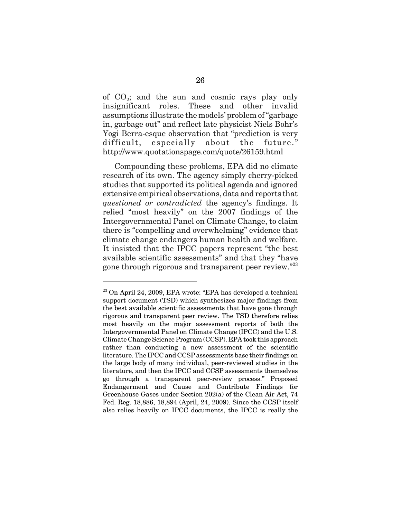of  $CO<sub>2</sub>$ ; and the sun and cosmic rays play only insignificant roles. These and other invalid assumptions illustrate the models' problem of "garbage in, garbage out" and reflect late physicist Niels Bohr's Yogi Berra-esque observation that "prediction is very difficult, especially about the future." http://www.quotationspage.com/quote/26159.html

Compounding these problems, EPA did no climate research of its own. The agency simply cherry-picked studies that supported its political agenda and ignored extensive empirical observations, data and reports that *questioned or contradicted* the agency's findings. It relied "most heavily" on the 2007 findings of the Intergovernmental Panel on Climate Change, to claim there is "compelling and overwhelming" evidence that climate change endangers human health and welfare. It insisted that the IPCC papers represent "the best available scientific assessments" and that they "have gone through rigorous and transparent peer review."<sup>23</sup>

 $23$  On April 24, 2009, EPA wrote: "EPA has developed a technical support document (TSD) which synthesizes major findings from the best available scientific assessments that have gone through rigorous and transparent peer review. The TSD therefore relies most heavily on the major assessment reports of both the Intergovernmental Panel on Climate Change (IPCC) and the U.S. Climate Change Science Program (CCSP). EPA took this approach rather than conducting a new assessment of the scientific literature. The IPCC and CCSP assessments base their findings on the large body of many individual, peer-reviewed studies in the literature, and then the IPCC and CCSP assessments themselves go through a transparent peer-review process." Proposed Endangerment and Cause and Contribute Findings for Greenhouse Gases under Section 202(a) of the Clean Air Act, 74 Fed. Reg. 18,886, 18,894 (April, 24, 2009). Since the CCSP itself also relies heavily on IPCC documents, the IPCC is really the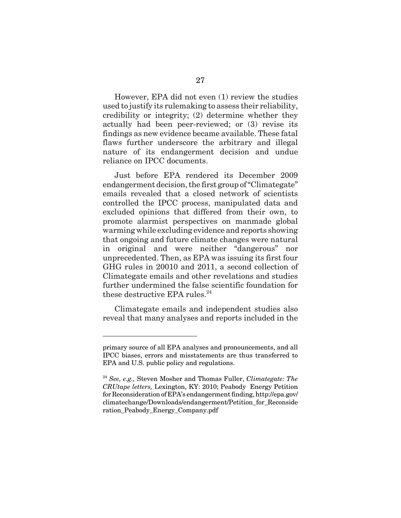However, EPA did not even (1) review the studies used to justify its rulemaking to assess their reliability, credibility or integrity; (2) determine whether they actually had been peer-reviewed; or (3) revise its findings as new evidence became available. These fatal flaws further underscore the arbitrary and illegal nature of its endangerment decision and undue reliance on IPCC documents.

Just before EPA rendered its December 2009 endangerment decision, the first group of "Climategate" emails revealed that a closed network of scientists controlled the IPCC process, manipulated data and excluded opinions that differed from their own, to promote alarmist perspectives on manmade global warming while excluding evidence and reports showing that ongoing and future climate changes were natural in original and were neither "dangerous" nor unprecedented. Then, as EPA was issuing its first four GHG rules in 20010 and 2011, a second collection of Climategate emails and other revelations and studies further undermined the false scientific foundation for these destructive EPA rules. $^{24}$ 

Climategate emails and independent studies also reveal that many analyses and reports included in the

primary source of all EPA analyses and pronouncements, and all IPCC biases, errors and misstatements are thus transferred to EPA and U.S. public policy and regulations.

<sup>24</sup> *See, e.g.,* Steven Mosher and Thomas Fuller, *Climategate: The CRUtape letters,* Lexington, KY: 2010; Peabody Energy Petition for Reconsideration of EPA's endangerment finding, http://epa.gov/ climatechange/Downloads/endangerment/Petition\_for\_Reconside ration\_Peabody\_Energy\_Company.pdf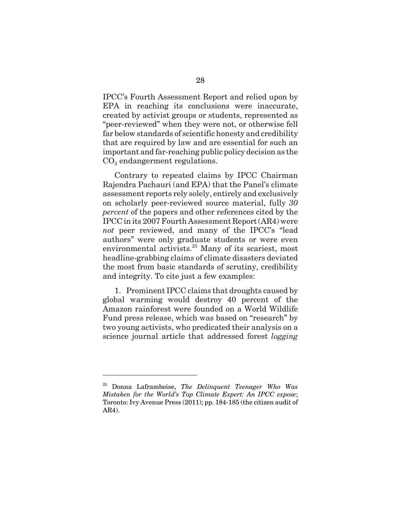IPCC's Fourth Assessment Report and relied upon by EPA in reaching its conclusions were inaccurate, created by activist groups or students, represented as "peer-reviewed" when they were not, or otherwise fell far below standards of scientific honesty and credibility that are required by law and are essential for such an important and far-reaching public policy decision as the  $CO<sub>2</sub>$  endangerment regulations.

Contrary to repeated claims by IPCC Chairman Rajendra Pachauri (and EPA) that the Panel's climate assessment reports rely solely, entirely and exclusively on scholarly peer-reviewed source material, fully *30 percent* of the papers and other references cited by the IPCC in its 2007 Fourth Assessment Report (AR4) were *not* peer reviewed, and many of the IPCC's "lead authors" were only graduate students or were even environmental activists.<sup>25</sup> Many of its scariest, most headline-grabbing claims of climate disasters deviated the most from basic standards of scrutiny, credibility and integrity. To cite just a few examples:

1. Prominent IPCC claims that droughts caused by global warming would destroy 40 percent of the Amazon rainforest were founded on a World Wildlife Fund press release, which was based on "research" by two young activists, who predicated their analysis on a science journal article that addressed forest *logging*

<sup>25</sup> Donna Laframboise, *The Delinquent Teenager Who Was Mistaken for the World's Top Climate Expert: An IPCC expose*; Toronto: Ivy Avenue Press (2011); pp. 184-185 (the citizen audit of AR4).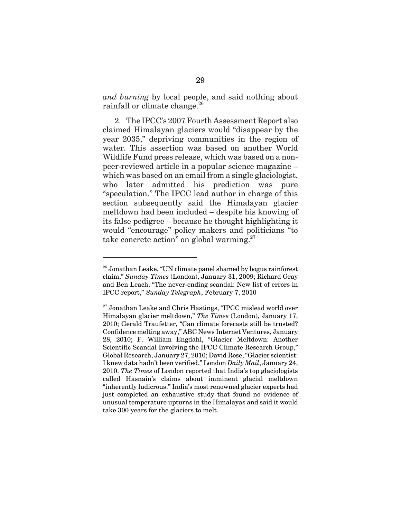*and burning* by local people, and said nothing about rainfall or climate change.<sup>26</sup>

2. The IPCC's 2007 Fourth Assessment Report also claimed Himalayan glaciers would "disappear by the year 2035," depriving communities in the region of water. This assertion was based on another World Wildlife Fund press release, which was based on a nonpeer-reviewed article in a popular science magazine – which was based on an email from a single glaciologist, who later admitted his prediction was pure "speculation." The IPCC lead author in charge of this section subsequently said the Himalayan glacier meltdown had been included – despite his knowing of its false pedigree – because he thought highlighting it would "encourage" policy makers and politicians "to take concrete action" on global warming.<sup>27</sup>

 $26$  Jonathan Leake, "UN climate panel shamed by bogus rainforest claim," *Sunday Times* (London), January 31, 2009; Richard Gray and Ben Leach, "The never-ending scandal: New list of errors in IPCC report," *Sunday Telegraph*, February 7, 2010

 $27$  Jonathan Leake and Chris Hastings, "IPCC mislead world over Himalayan glacier meltdown," *The Times* (London), January 17, 2010; Gerald Traufetter, "Can climate forecasts still be trusted? Confidence melting away," ABC News Internet Ventures, January 28, 2010; F. William Engdahl, "Glacier Meltdown: Another Scientific Scandal Involving the IPCC Climate Research Group," Global Research, January 27, 2010; David Rose, "Glacier scientist: I knew data hadn't been verified," London *Daily Mail*, January 24, 2010. *The Times* of London reported that India's top glaciologists called Hasnain's claims about imminent glacial meltdown "inherently ludicrous." India's most renowned glacier experts had just completed an exhaustive study that found no evidence of unusual temperature upturns in the Himalayas and said it would take 300 years for the glaciers to melt.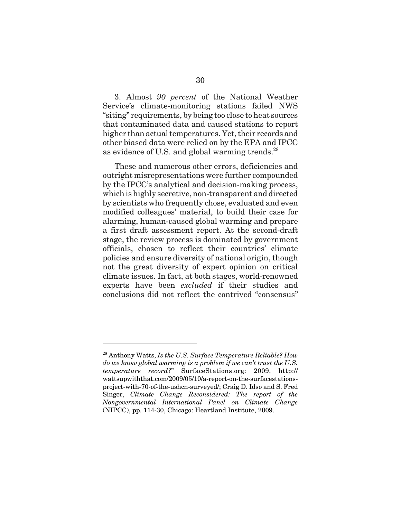3. Almost *90 percent* of the National Weather Service's climate-monitoring stations failed NWS "siting" requirements, by being too close to heat sources that contaminated data and caused stations to report higher than actual temperatures. Yet, their records and other biased data were relied on by the EPA and IPCC as evidence of U.S. and global warming trends.<sup>28</sup>

These and numerous other errors, deficiencies and outright misrepresentations were further compounded by the IPCC's analytical and decision-making process, which is highly secretive, non-transparent and directed by scientists who frequently chose, evaluated and even modified colleagues' material, to build their case for alarming, human-caused global warming and prepare a first draft assessment report. At the second-draft stage, the review process is dominated by government officials, chosen to reflect their countries' climate policies and ensure diversity of national origin, though not the great diversity of expert opinion on critical climate issues. In fact, at both stages, world-renowned experts have been *excluded* if their studies and conclusions did not reflect the contrived "consensus"

<sup>28</sup> Anthony Watts, *Is the U.S. Surface Temperature Reliable? How do we know global warming is a problem if we can't trust the U.S. temperature record?*" SurfaceStations.org: 2009, http:// wattsupwiththat.com/2009/05/10/a-report-on-the-surfacestationsproject-with-70-of-the-ushcn-surveyed/; Craig D. Idso and S. Fred Singer, *Climate Change Reconsidered: The report of the Nongovernmental International Panel on Climate Change* (NIPCC), pp. 114-30, Chicago: Heartland Institute, 2009.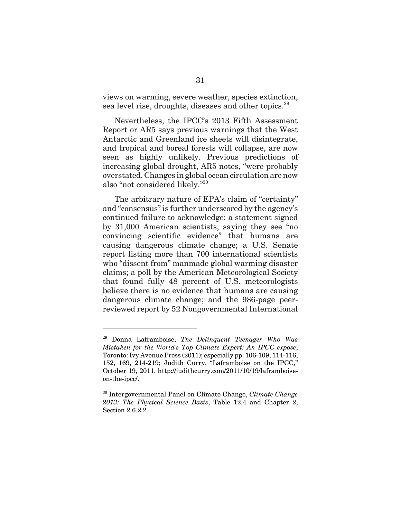views on warming, severe weather, species extinction, sea level rise, droughts, diseases and other topics.<sup>29</sup>

Nevertheless, the IPCC's 2013 Fifth Assessment Report or AR5 says previous warnings that the West Antarctic and Greenland ice sheets will disintegrate, and tropical and boreal forests will collapse, are now seen as highly unlikely. Previous predictions of increasing global drought, AR5 notes, "were probably overstated. Changes in global ocean circulation are now also "not considered likely."30

The arbitrary nature of EPA's claim of "certainty" and "consensus" is further underscored by the agency's continued failure to acknowledge: a statement signed by 31,000 American scientists, saying they see "no convincing scientific evidence" that humans are causing dangerous climate change; a U.S. Senate report listing more than 700 international scientists who "dissent from" manmade global warming disaster claims; a poll by the American Meteorological Society that found fully 48 percent of U.S. meteorologists believe there is no evidence that humans are causing dangerous climate change; and the 986-page peerreviewed report by 52 Nongovernmental International

<sup>29</sup> Donna Laframboise, *The Delinquent Teenager Who Was Mistaken for the World's Top Climate Expert: An IPCC expose*; Toronto: Ivy Avenue Press (2011); especially pp. 106-109, 114-116, 152, 169, 214-219; Judith Curry, "Laframboise on the IPCC," October 19, 2011, http://judithcurry.com/2011/10/19/laframboiseon-the-ipcc/.

<sup>30</sup> Intergovernmental Panel on Climate Change, *Climate Change 2013: The Physical Science Basis*, Table 12.4 and Chapter 2, Section 2.6.2.2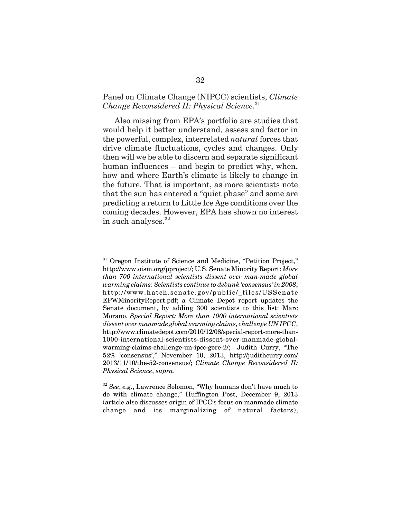### Panel on Climate Change (NIPCC) scientists, *Climate Change Reconsidered II: Physical Science*. 31

Also missing from EPA's portfolio are studies that would help it better understand, assess and factor in the powerful, complex, interrelated *natural* forces that drive climate fluctuations, cycles and changes. Only then will we be able to discern and separate significant human influences – and begin to predict why, when, how and where Earth's climate is likely to change in the future. That is important, as more scientists note that the sun has entered a "quiet phase" and some are predicting a return to Little Ice Age conditions over the coming decades. However, EPA has shown no interest in such analyses.<sup>32</sup>

<sup>&</sup>lt;sup>31</sup> Oregon Institute of Science and Medicine, "Petition Project," http://www.oism.org/pproject/; U.S. Senate Minority Report: *More than 700 international scientists dissent over man-made global warming claims: Scientists continue to debunk 'consensus' in 2008*, http://www.hatch.senate.gov/public/\_files/USSenate EPWMinorityReport.pdf; a Climate Depot report updates the Senate document, by adding 300 scientists to this list: Marc Morano, *Special Report: More than 1000 international scientists dissent over manmade global warming claims, challenge UN IPCC*, http://www.climatedepot.com/2010/12/08/special-report-more-than-1000-international-scientists-dissent-over-manmade-globalwarming-claims-challenge-un-ipcc-gore-2/; Judith Curry, "The 52% 'consensus'," November 10, 2013, http://judithcurry.com/ 2013/11/10/the-52-consensus/; *Climate Change Reconsidered II: Physical Science*, *supra*.

<sup>32</sup> *See*, *e.g*., Lawrence Solomon, "Why humans don't have much to do with climate change," Huffington Post, December 9, 2013 (article also discusses origin of IPCC's focus on manmade climate change and its marginalizing of natural factors),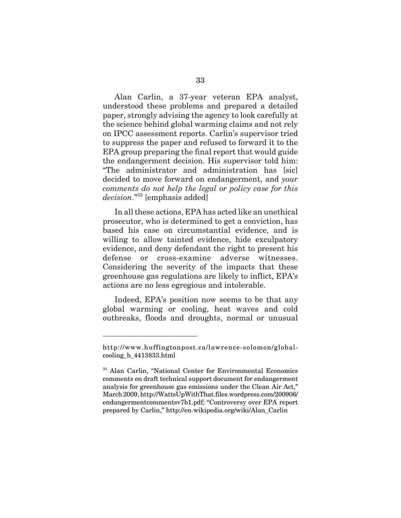Alan Carlin, a 37-year veteran EPA analyst, understood these problems and prepared a detailed paper, strongly advising the agency to look carefully at the science behind global warming claims and not rely on IPCC assessment reports. Carlin's supervisor tried to suppress the paper and refused to forward it to the EPA group preparing the final report that would guide the endangerment decision. His supervisor told him: "The administrator and administration has [sic] decided to move forward on endangerment, and *your comments do not help the legal or policy case for this decision*."33 [emphasis added]

In all these actions, EPA has acted like an unethical prosecutor, who is determined to get a conviction, has based his case on circumstantial evidence, and is willing to allow tainted evidence, hide exculpatory evidence, and deny defendant the right to present his defense or cross-examine adverse witnesses. Considering the severity of the impacts that these greenhouse gas regulations are likely to inflict, EPA's actions are no less egregious and intolerable.

Indeed, EPA's position now seems to be that any global warming or cooling, heat waves and cold outbreaks, floods and droughts, normal or unusual

http://www.huffingtonpost.ca/lawrence-solomon/globalcooling\_b\_4413833.html

<sup>&</sup>lt;sup>33</sup> Alan Carlin, "National Center for Environmental Economics comments on draft technical support document for endangerment analysis for greenhouse gas emissions under the Clean Air Act," March 2009, http://WattsUpWithThat.files.wordpress.com/200906/ endangermentcommentsv7b1.pdf; "Controversy over EPA report prepared by Carlin," http://en.wikipedia.org/wiki/Alan\_Carlin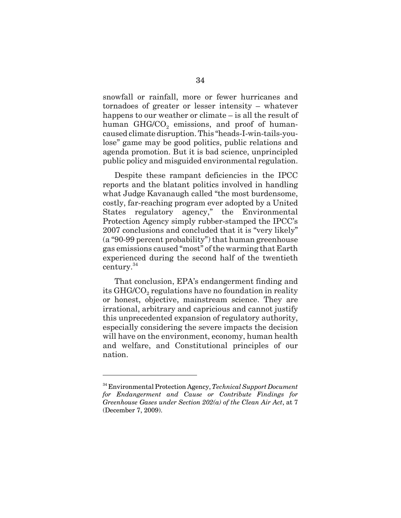snowfall or rainfall, more or fewer hurricanes and tornadoes of greater or lesser intensity – whatever happens to our weather or climate – is all the result of human  $GHG/CO<sub>2</sub>$  emissions, and proof of humancaused climate disruption. This "heads-I-win-tails-youlose" game may be good politics, public relations and agenda promotion. But it is bad science, unprincipled public policy and misguided environmental regulation.

Despite these rampant deficiencies in the IPCC reports and the blatant politics involved in handling what Judge Kavanaugh called "the most burdensome, costly, far-reaching program ever adopted by a United States regulatory agency," the Environmental Protection Agency simply rubber-stamped the IPCC's 2007 conclusions and concluded that it is "very likely" (a "90-99 percent probability") that human greenhouse gas emissions caused "most" of the warming that Earth experienced during the second half of the twentieth century.<sup>34</sup>

That conclusion, EPA's endangerment finding and its GHG/CO<sub>2</sub> regulations have no foundation in reality or honest, objective, mainstream science. They are irrational, arbitrary and capricious and cannot justify this unprecedented expansion of regulatory authority, especially considering the severe impacts the decision will have on the environment, economy, human health and welfare, and Constitutional principles of our nation.

<sup>34</sup> Environmental Protection Agency, *Technical Support Document for Endangerment and Cause or Contribute Findings for Greenhouse Gases under Section 202(a) of the Clean Air Act*, at 7 (December 7, 2009).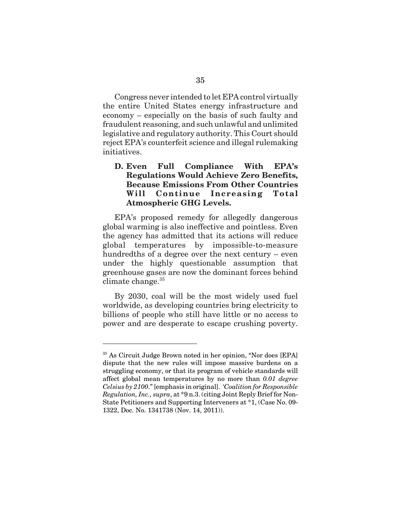Congress never intended to let EPA control virtually the entire United States energy infrastructure and economy – especially on the basis of such faulty and fraudulent reasoning, and such unlawful and unlimited legislative and regulatory authority. This Court should reject EPA's counterfeit science and illegal rulemaking initiatives.

# **D. Even Full Compliance With EPA's Regulations Would Achieve Zero Benefits, Because Emissions From Other Countries Will Continue Increasing Total Atmospheric GHG Levels.**

EPA's proposed remedy for allegedly dangerous global warming is also ineffective and pointless. Even the agency has admitted that its actions will reduce global temperatures by impossible-to-measure hundredths of a degree over the next century – even under the highly questionable assumption that greenhouse gases are now the dominant forces behind climate change. $35$ 

By 2030, coal will be the most widely used fuel worldwide, as developing countries bring electricity to billions of people who still have little or no access to power and are desperate to escape crushing poverty.

<sup>35</sup> As Circuit Judge Brown noted in her opinion, "Nor does [EPA] dispute that the new rules will impose massive burdens on a struggling economy, or that its program of vehicle standards will affect global mean temperatures by no more than *0.01 degree Celsius by 2100*." [emphasis in original]. *'Coalition for Responsible Regulation, Inc., supra*, at \*9 n.3. (citing Joint Reply Brief for Non-State Petitioners and Supporting Interveners at \*1, (Case No. 09- 1322, Doc. No. 1341738 (Nov. 14, 2011)).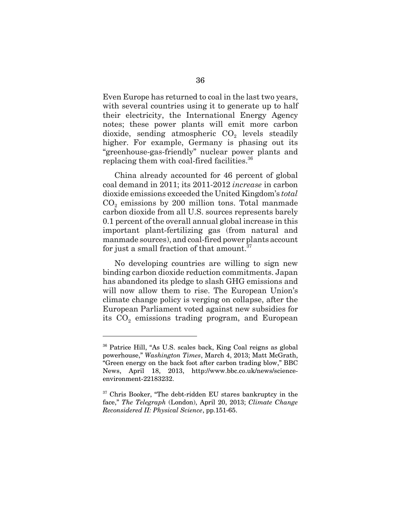Even Europe has returned to coal in the last two years, with several countries using it to generate up to half their electricity, the International Energy Agency notes; these power plants will emit more carbon  $divide$ , sending atmospheric  $CO<sub>2</sub>$  levels steadily higher. For example, Germany is phasing out its "greenhouse-gas-friendly" nuclear power plants and replacing them with coal-fired facilities.<sup>36</sup>

China already accounted for 46 percent of global coal demand in 2011; its 2011-2012 *increase* in carbon dioxide emissions exceeded the United Kingdom's *total*  $CO<sub>2</sub>$  emissions by 200 million tons. Total manmade carbon dioxide from all U.S. sources represents barely 0.1 percent of the overall annual global increase in this important plant-fertilizing gas (from natural and manmade sources), and coal-fired power plants account for just a small fraction of that amount. $37$ 

No developing countries are willing to sign new binding carbon dioxide reduction commitments. Japan has abandoned its pledge to slash GHG emissions and will now allow them to rise. The European Union's climate change policy is verging on collapse, after the European Parliament voted against new subsidies for its  $CO<sub>2</sub>$  emissions trading program, and European

<sup>36</sup> Patrice Hill, "As U.S. scales back, King Coal reigns as global powerhouse," *Washington Times*, March 4, 2013; Matt McGrath, "Green energy on the back foot after carbon trading blow," BBC News, April 18, 2013, http://www.bbc.co.uk/news/scienceenvironment-22183232.

<sup>&</sup>lt;sup>37</sup> Chris Booker, "The debt-ridden EU stares bankruptcy in the face," *The Telegraph* (London), April 20, 2013; *Climate Change Reconsidered II: Physical Science*, pp.151-65.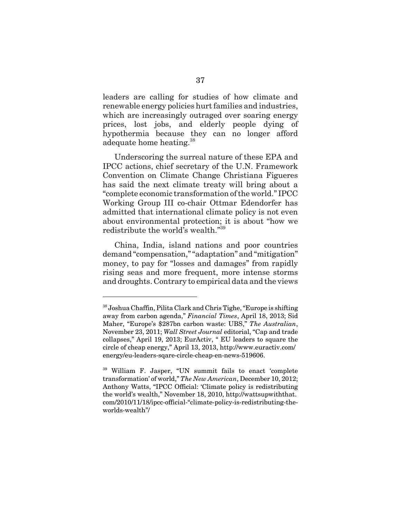leaders are calling for studies of how climate and renewable energy policies hurt families and industries, which are increasingly outraged over soaring energy prices, lost jobs, and elderly people dying of hypothermia because they can no longer afford adequate home heating.<sup>38</sup>

Underscoring the surreal nature of these EPA and IPCC actions, chief secretary of the U.N. Framework Convention on Climate Change Christiana Figueres has said the next climate treaty will bring about a "complete economic transformation of the world." IPCC Working Group III co-chair Ottmar Edendorfer has admitted that international climate policy is not even about environmental protection; it is about "how we redistribute the world's wealth."39

China, India, island nations and poor countries demand "compensation," "adaptation" and "mitigation" money, to pay for "losses and damages" from rapidly rising seas and more frequent, more intense storms and droughts. Contrary to empirical data and the views

<sup>38</sup> Joshua Chaffin, Pilita Clark and Chris Tighe, "Europe is shifting away from carbon agenda," *Financial Times*, April 18, 2013; Sid Maher, "Europe's \$287bn carbon waste: UBS," *The Australian*, November 23, 2011; *Wall Street Journal* editorial, "Cap and trade collapses," April 19, 2013; EurActiv, " EU leaders to square the circle of cheap energy," April 13, 2013, http://www.euractiv.com/ energy/eu-leaders-sqare-circle-cheap-en-news-519606.

<sup>39</sup> William F. Jasper, "UN summit fails to enact 'complete transformation' of world," *The New American*, December 10, 2012; Anthony Watts, "IPCC Official: 'Climate policy is redistributing the world's wealth," November 18, 2010, http://wattsupwiththat. com/2010/11/18/ipcc-official-"climate-policy-is-redistributing-theworlds-wealth"/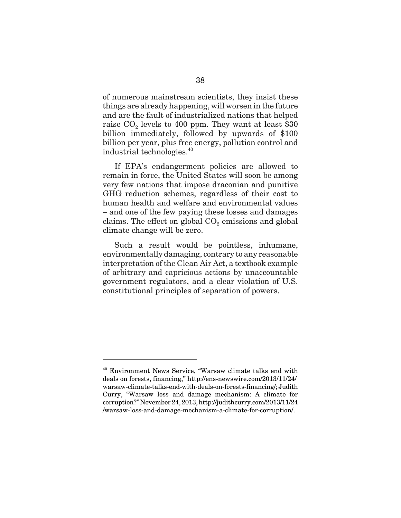of numerous mainstream scientists, they insist these things are already happening, will worsen in the future and are the fault of industrialized nations that helped raise  $CO<sub>2</sub>$  levels to 400 ppm. They want at least \$30 billion immediately, followed by upwards of \$100 billion per year, plus free energy, pollution control and industrial technologies.40

If EPA's endangerment policies are allowed to remain in force, the United States will soon be among very few nations that impose draconian and punitive GHG reduction schemes, regardless of their cost to human health and welfare and environmental values – and one of the few paying these losses and damages claims. The effect on global  $CO<sub>2</sub>$  emissions and global climate change will be zero.

Such a result would be pointless, inhumane, environmentally damaging, contrary to any reasonable interpretation of the Clean Air Act, a textbook example of arbitrary and capricious actions by unaccountable government regulators, and a clear violation of U.S. constitutional principles of separation of powers.

<sup>40</sup> Environment News Service, "Warsaw climate talks end with deals on forests, financing," http://ens-newswire.com/2013/11/24/ warsaw-climate-talks-end-with-deals-on-forests-financing/; Judith Curry, "Warsaw loss and damage mechanism: A climate for corruption?" November 24, 2013, http://judithcurry.com/2013/11/24 /warsaw-loss-and-damage-mechanism-a-climate-for-corruption/.